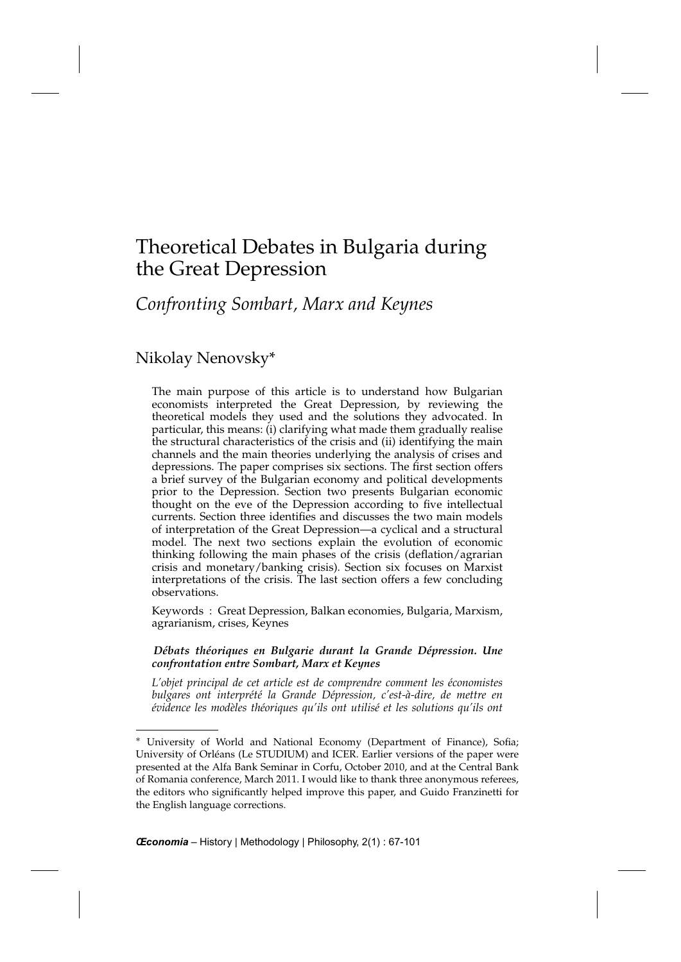## *Confronting Sombart, Marx and Keynes*

## Nikolay Nenovsky\*

The main purpose of this article is to understand how Bulgarian economists interpreted the Great Depression, by reviewing the theoretical models they used and the solutions they advocated. In particular, this means: (i) clarifying what made them gradually realise the structural characteristics of the crisis and (ii) identifying the main channels and the main theories underlying the analysis of crises and depressions. The paper comprises six sections. The first section offers a brief survey of the Bulgarian economy and political developments prior to the Depression. Section two presents Bulgarian economic thought on the eve of the Depression according to five intellectual currents. Section three identifies and discusses the two main models of interpretation of the Great Depression—a cyclical and a structural model. The next two sections explain the evolution of economic thinking following the main phases of the crisis (deflation/agrarian crisis and monetary/banking crisis). Section six focuses on Marxist interpretations of the crisis. The last section offers a few concluding observations.

Keywords : Great Depression, Balkan economies, Bulgaria, Marxism, agrarianism, crises, Keynes

*Débats théoriques en Bulgarie durant la Grande Dépression. Une confrontation entre Sombart, Marx et Keynes*

*L'objet principal de cet article est de comprendre comment les économistes bulgares ont interprété la Grande Dépression, c'est-à-dire, de mettre en évidence les modèles théoriques qu'ils ont utilisé et les solutions qu'ils ont*

<sup>∗</sup> University of World and National Economy (Department of Finance), Sofia; University of Orléans (Le STUDIUM) and ICER. Earlier versions of the paper were presented at the Alfa Bank Seminar in Corfu, October 2010, and at the Central Bank of Romania conference, March 2011. I would like to thank three anonymous referees, the editors who significantly helped improve this paper, and Guido Franzinetti for the English language corrections.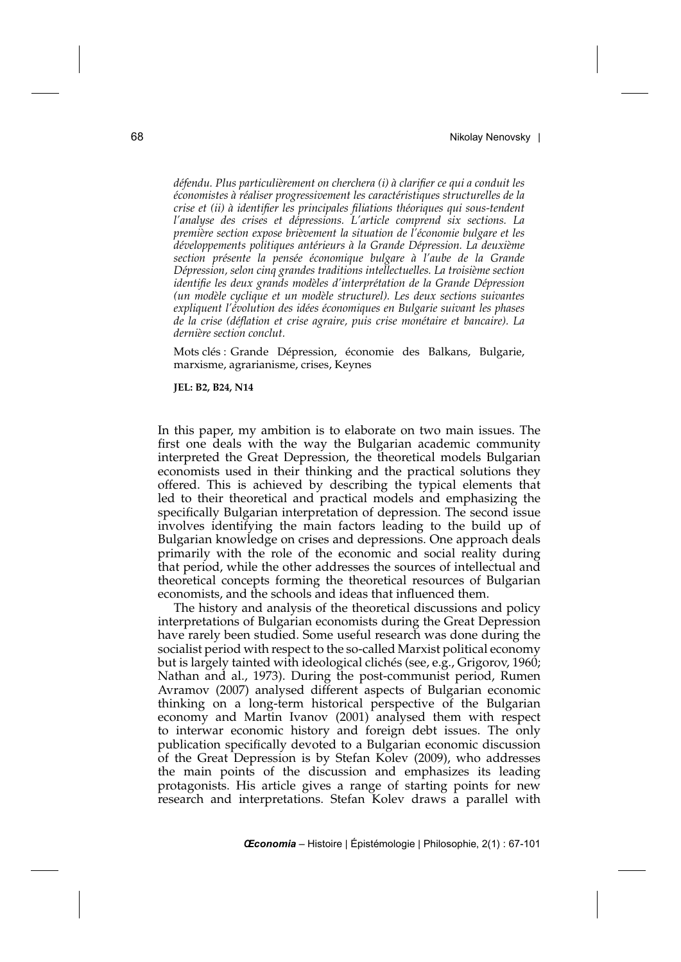*défendu. Plus particulièrement on cherchera (i) à clarifier ce qui a conduit les économistes à réaliser progressivement les caractéristiques structurelles de la crise et (ii) à identifier les principales filiations théoriques qui sous-tendent l'analyse des crises et dépressions. L'article comprend six sections. La première section expose brièvement la situation de l'économie bulgare et les développements politiques antérieurs à la Grande Dépression. La deuxième section présente la pensée économique bulgare à l'aube de la Grande Dépression, selon cinq grandes traditions intellectuelles. La troisième section identifie les deux grands modèles d'interprétation de la Grande Dépression (un modèle cyclique et un modèle structurel). Les deux sections suivantes expliquent l'évolution des idées économiques en Bulgarie suivant les phases de la crise (déflation et crise agraire, puis crise monétaire et bancaire). La dernière section conclut.*

Mots clés : Grande Dépression, économie des Balkans, Bulgarie, marxisme, agrarianisme, crises, Keynes

**JEL: B2, B24, N14**

In this paper, my ambition is to elaborate on two main issues. The first one deals with the way the Bulgarian academic community interpreted the Great Depression, the theoretical models Bulgarian economists used in their thinking and the practical solutions they offered. This is achieved by describing the typical elements that led to their theoretical and practical models and emphasizing the specifically Bulgarian interpretation of depression. The second issue involves identifying the main factors leading to the build up of Bulgarian knowledge on crises and depressions. One approach deals primarily with the role of the economic and social reality during that period, while the other addresses the sources of intellectual and theoretical concepts forming the theoretical resources of Bulgarian economists, and the schools and ideas that influenced them.

The history and analysis of the theoretical discussions and policy interpretations of Bulgarian economists during the Great Depression have rarely been studied. Some useful research was done during the socialist period with respect to the so-called Marxist political economy but is largely tainted with ideological clichés (see, e.g., Grigorov, 1960; Nathan and al., 1973). During the post-communist period, Rumen Avramov (2007) analysed different aspects of Bulgarian economic thinking on a long-term historical perspective of the Bulgarian economy and Martin Ivanov (2001) analysed them with respect to interwar economic history and foreign debt issues. The only publication specifically devoted to a Bulgarian economic discussion of the Great Depression is by Stefan Kolev (2009), who addresses the main points of the discussion and emphasizes its leading protagonists. His article gives a range of starting points for new research and interpretations. Stefan Kolev draws a parallel with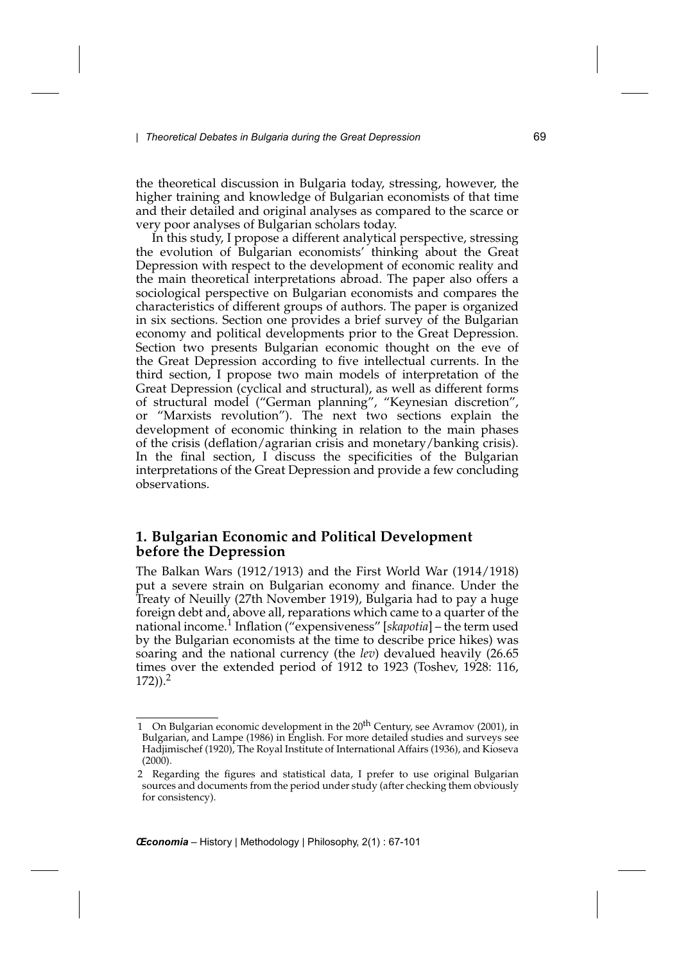the theoretical discussion in Bulgaria today, stressing, however, the higher training and knowledge of Bulgarian economists of that time and their detailed and original analyses as compared to the scarce or very poor analyses of Bulgarian scholars today.

In this study, I propose a different analytical perspective, stressing the evolution of Bulgarian economists' thinking about the Great Depression with respect to the development of economic reality and the main theoretical interpretations abroad. The paper also offers a sociological perspective on Bulgarian economists and compares the characteristics of different groups of authors. The paper is organized in six sections. Section one provides a brief survey of the Bulgarian economy and political developments prior to the Great Depression. Section two presents Bulgarian economic thought on the eve of the Great Depression according to five intellectual currents. In the third section, I propose two main models of interpretation of the Great Depression (cyclical and structural), as well as different forms of structural model ("German planning", "Keynesian discretion", or "Marxists revolution"). The next two sections explain the development of economic thinking in relation to the main phases of the crisis (deflation/agrarian crisis and monetary/banking crisis). In the final section, I discuss the specificities of the Bulgarian interpretations of the Great Depression and provide a few concluding observations.

## **1. Bulgarian Economic and Political Development before the Depression**

The Balkan Wars (1912/1913) and the First World War (1914/1918) put a severe strain on Bulgarian economy and finance. Under the Treaty of Neuilly (27th November 1919), Bulgaria had to pay a huge foreign debt and, above all, reparations which came to a quarter of the national income.<sup>1</sup> Inflation ("expensiveness" [*skapotia*] – the term used by the Bulgarian economists at the time to describe price hikes) was soaring and the national currency (the *lev*) devalued heavily (26.65 times over the extended period of 1912 to 1923 (Toshev, 1928: 116,  $(172)$ ).<sup>2</sup>

<sup>1</sup> On Bulgarian economic development in the  $20<sup>th</sup>$  Century, see Avramov (2001), in Bulgarian, and Lampe (1986) in English. For more detailed studies and surveys see Hadjimischef (1920), The Royal Institute of International Affairs (1936), and Kioseva (2000).

<sup>2</sup> Regarding the figures and statistical data, I prefer to use original Bulgarian sources and documents from the period under study (after checking them obviously for consistency).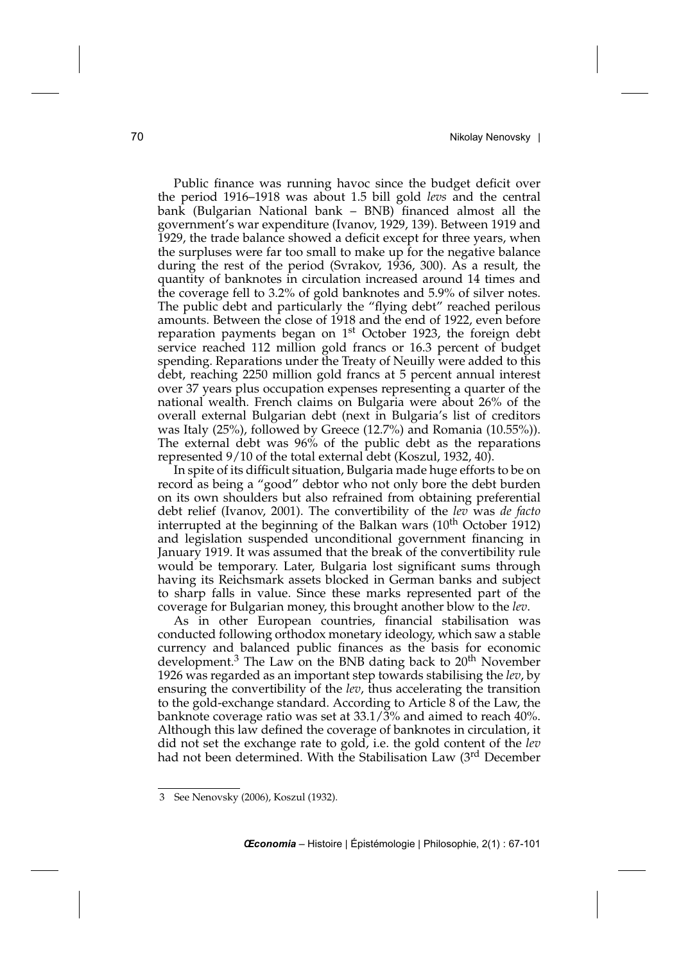Public finance was running havoc since the budget deficit over the period 1916–1918 was about 1.5 bill gold *levs* and the central bank (Bulgarian National bank – BNB) financed almost all the government's war expenditure (Ivanov, 1929, 139). Between 1919 and 1929, the trade balance showed a deficit except for three years, when the surpluses were far too small to make up for the negative balance during the rest of the period (Svrakov, 1936, 300). As a result, the quantity of banknotes in circulation increased around 14 times and the coverage fell to 3.2% of gold banknotes and 5.9% of silver notes. The public debt and particularly the "flying debt" reached perilous amounts. Between the close of 1918 and the end of 1922, even before reparation payments began on  $1<sup>st</sup>$  October 1923, the foreign debt service reached 112 million gold francs or 16.3 percent of budget spending. Reparations under the Treaty of Neuilly were added to this debt, reaching 2250 million gold francs at 5 percent annual interest over 37 years plus occupation expenses representing a quarter of the national wealth. French claims on Bulgaria were about 26% of the overall external Bulgarian debt (next in Bulgaria's list of creditors was Italy (25%), followed by Greece (12.7%) and Romania (10.55%)). The external debt was 96% of the public debt as the reparations represented 9/10 of the total external debt (Koszul, 1932, 40).

In spite of its difficult situation, Bulgaria made huge efforts to be on record as being a "good" debtor who not only bore the debt burden on its own shoulders but also refrained from obtaining preferential debt relief (Ivanov, 2001). The convertibility of the *lev* was *de facto* interrupted at the beginning of the Balkan wars  $(10<sup>th</sup> October 1912)$ and legislation suspended unconditional government financing in January 1919. It was assumed that the break of the convertibility rule would be temporary. Later, Bulgaria lost significant sums through having its Reichsmark assets blocked in German banks and subject to sharp falls in value. Since these marks represented part of the coverage for Bulgarian money, this brought another blow to the *lev*.

As in other European countries, financial stabilisation was conducted following orthodox monetary ideology, which saw a stable currency and balanced public finances as the basis for economic development.<sup>3</sup> The Law on the BNB dating back to 20<sup>th</sup> November 1926 was regarded as an important step towards stabilising the *lev*, by ensuring the convertibility of the *lev*, thus accelerating the transition to the gold-exchange standard. According to Article 8 of the Law, the banknote coverage ratio was set at 33.1/3% and aimed to reach 40%. Although this law defined the coverage of banknotes in circulation, it did not set the exchange rate to gold, i.e. the gold content of the *lev* had not been determined. With the Stabilisation Law (3rd December

<sup>3</sup> See Nenovsky (2006), Koszul (1932).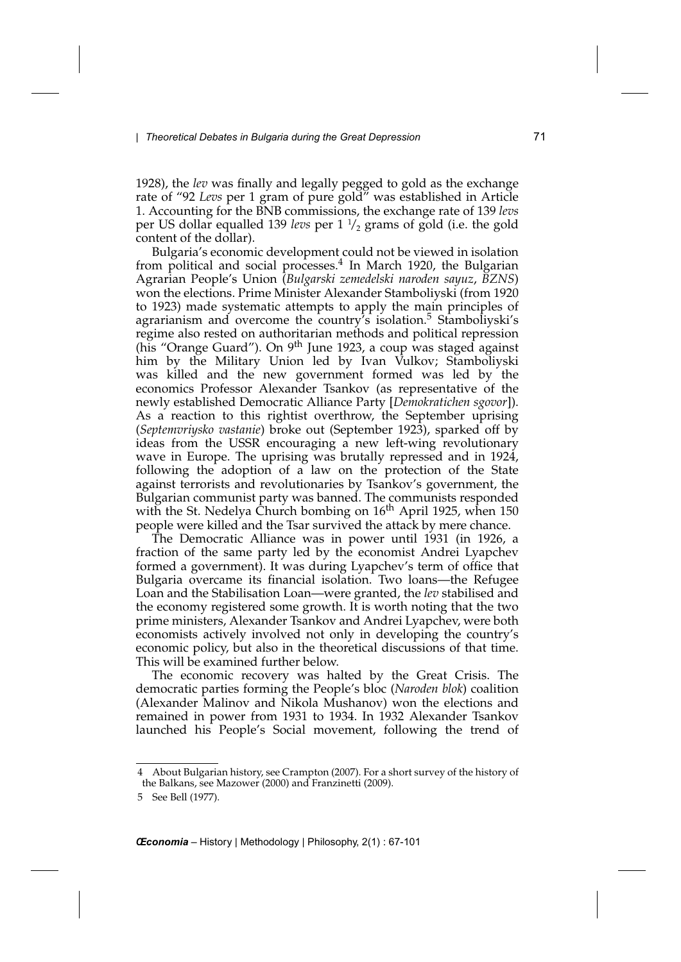1928), the *lev* was finally and legally pegged to gold as the exchange rate of "92 *Levs* per 1 gram of pure gold" was established in Article 1. Accounting for the BNB commissions, the exchange rate of 139 *levs* per US dollar equalled 139 *levs* per 1 <sup>1</sup> /2 grams of gold (i.e. the gold content of the dollar).

Bulgaria's economic development could not be viewed in isolation from political and social processes.<sup>4</sup> In March 1920, the Bulgarian Agrarian People's Union (*Bulgarski zemedelski naroden sayuz*, *BZNS*) won the elections. Prime Minister Alexander Stamboliyski (from 1920 to 1923) made systematic attempts to apply the main principles of agrarianism and overcome the country's isolation.<sup>5</sup> Stamboliyski's regime also rested on authoritarian methods and political repression (his "Orange Guard"). On 9<sup>th</sup> June 1923, a coup was staged against him by the Military Union led by Ivan Vulkov; Stamboliyski was killed and the new government formed was led by the economics Professor Alexander Tsankov (as representative of the newly established Democratic Alliance Party [*Demokratichen sgovor*]). As a reaction to this rightist overthrow, the September uprising (*Septemvriysko vastanie*) broke out (September 1923), sparked off by ideas from the USSR encouraging a new left-wing revolutionary wave in Europe. The uprising was brutally repressed and in 1924, following the adoption of a law on the protection of the State against terrorists and revolutionaries by Tsankov's government, the Bulgarian communist party was banned. The communists responded with the St. Nedelya Church bombing on  $16<sup>th</sup>$  April 1925, when 150 people were killed and the Tsar survived the attack by mere chance.

The Democratic Alliance was in power until 1931 (in 1926, a fraction of the same party led by the economist Andrei Lyapchev formed a government). It was during Lyapchev's term of office that Bulgaria overcame its financial isolation. Two loans—the Refugee Loan and the Stabilisation Loan—were granted, the *lev* stabilised and the economy registered some growth. It is worth noting that the two prime ministers, Alexander Tsankov and Andrei Lyapchev, were both economists actively involved not only in developing the country's economic policy, but also in the theoretical discussions of that time. This will be examined further below.

The economic recovery was halted by the Great Crisis. The democratic parties forming the People's bloc (*Naroden blok*) coalition (Alexander Malinov and Nikola Mushanov) won the elections and remained in power from 1931 to 1934. In 1932 Alexander Tsankov launched his People's Social movement, following the trend of

<sup>4</sup> About Bulgarian history, see Crampton (2007). For a short survey of the history of the Balkans, see Mazower (2000) and Franzinetti (2009).

<sup>5</sup> See Bell (1977).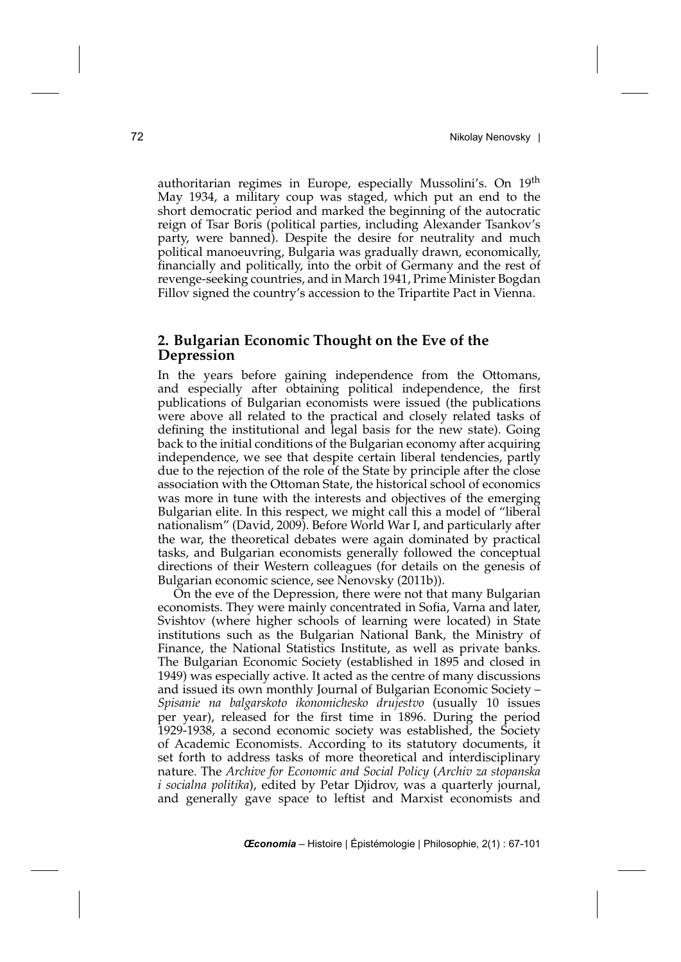authoritarian regimes in Europe, especially Mussolini's. On 19th May 1934, a military coup was staged, which put an end to the short democratic period and marked the beginning of the autocratic reign of Tsar Boris (political parties, including Alexander Tsankov's party, were banned). Despite the desire for neutrality and much political manoeuvring, Bulgaria was gradually drawn, economically, financially and politically, into the orbit of Germany and the rest of revenge-seeking countries, and in March 1941, Prime Minister Bogdan Fillov signed the country's accession to the Tripartite Pact in Vienna.

## **2. Bulgarian Economic Thought on the Eve of the Depression**

In the years before gaining independence from the Ottomans, and especially after obtaining political independence, the first publications of Bulgarian economists were issued (the publications were above all related to the practical and closely related tasks of defining the institutional and legal basis for the new state). Going back to the initial conditions of the Bulgarian economy after acquiring independence, we see that despite certain liberal tendencies, partly due to the rejection of the role of the State by principle after the close association with the Ottoman State, the historical school of economics was more in tune with the interests and objectives of the emerging Bulgarian elite. In this respect, we might call this a model of "liberal nationalism" (David, 2009). Before World War I, and particularly after the war, the theoretical debates were again dominated by practical tasks, and Bulgarian economists generally followed the conceptual directions of their Western colleagues (for details on the genesis of Bulgarian economic science, see Nenovsky (2011b)).

On the eve of the Depression, there were not that many Bulgarian economists. They were mainly concentrated in Sofia, Varna and later, Svishtov (where higher schools of learning were located) in State institutions such as the Bulgarian National Bank, the Ministry of Finance, the National Statistics Institute, as well as private banks. The Bulgarian Economic Society (established in 1895 and closed in 1949) was especially active. It acted as the centre of many discussions and issued its own monthly Journal of Bulgarian Economic Society – *Spisanie na balgarskoto ikonomichesko drujestvo* (usually 10 issues per year), released for the first time in 1896. During the period 1929-1938, a second economic society was established, the Society of Academic Economists. According to its statutory documents, it set forth to address tasks of more theoretical and interdisciplinary nature. The *Archive for Economic and Social Policy* (*Archiv za stopanska i socialna politika*), edited by Petar Djidrov, was a quarterly journal, and generally gave space to leftist and Marxist economists and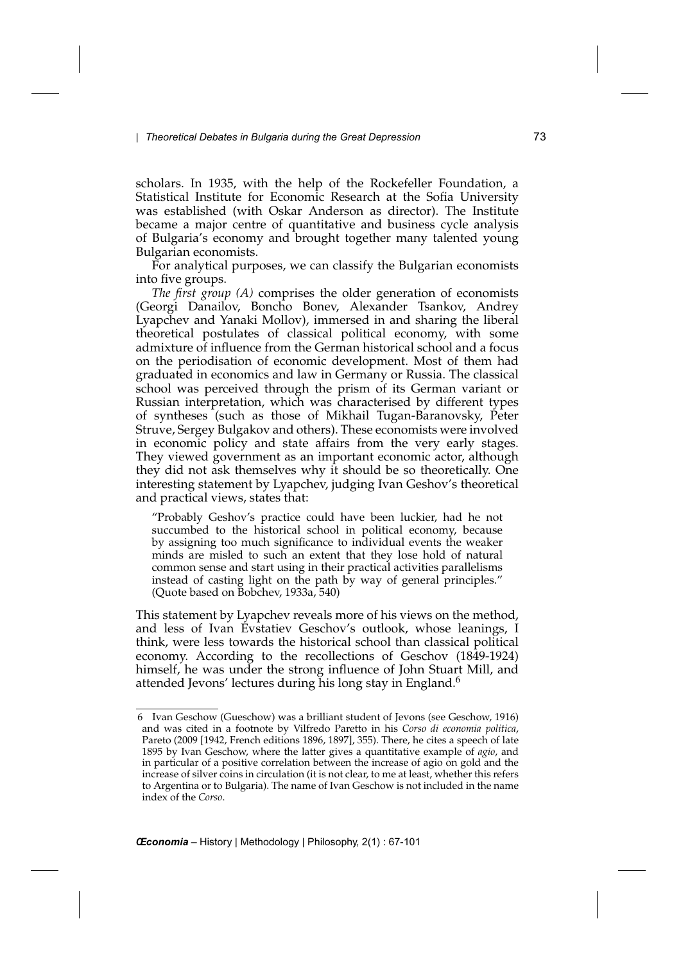scholars. In 1935, with the help of the Rockefeller Foundation, a Statistical Institute for Economic Research at the Sofia University was established (with Oskar Anderson as director). The Institute became a major centre of quantitative and business cycle analysis of Bulgaria's economy and brought together many talented young Bulgarian economists.

For analytical purposes, we can classify the Bulgarian economists into five groups.

*The first group (A)* comprises the older generation of economists (Georgi Danailov, Boncho Bonev, Alexander Tsankov, Andrey Lyapchev and Yanaki Mollov), immersed in and sharing the liberal theoretical postulates of classical political economy, with some admixture of influence from the German historical school and a focus on the periodisation of economic development. Most of them had graduated in economics and law in Germany or Russia. The classical school was perceived through the prism of its German variant or Russian interpretation, which was characterised by different types of syntheses (such as those of Mikhail Tugan-Baranovsky, Peter Struve, Sergey Bulgakov and others). These economists were involved in economic policy and state affairs from the very early stages. They viewed government as an important economic actor, although they did not ask themselves why it should be so theoretically. One interesting statement by Lyapchev, judging Ivan Geshov's theoretical and practical views, states that:

"Probably Geshov's practice could have been luckier, had he not succumbed to the historical school in political economy, because by assigning too much significance to individual events the weaker minds are misled to such an extent that they lose hold of natural common sense and start using in their practical activities parallelisms instead of casting light on the path by way of general principles." (Quote based on Bobchev, 1933a, 540)

This statement by Lyapchev reveals more of his views on the method, and less of Ivan Evstatiev Geschov's outlook, whose leanings, I think, were less towards the historical school than classical political economy. According to the recollections of Geschov (1849-1924) himself, he was under the strong influence of John Stuart Mill, and attended Jevons' lectures during his long stay in England.<sup>6</sup>

<sup>6</sup> Ivan Geschow (Gueschow) was a brilliant student of Jevons (see Geschow, 1916) and was cited in a footnote by Vilfredo Paretto in his *Corso di economia politica*, Pareto (2009 [1942, French editions 1896, 1897], 355). There, he cites a speech of late 1895 by Ivan Geschow, where the latter gives a quantitative example of *agio*, and in particular of a positive correlation between the increase of agio on gold and the increase of silver coins in circulation (it is not clear, to me at least, whether this refers to Argentina or to Bulgaria). The name of Ivan Geschow is not included in the name index of the *Corso*.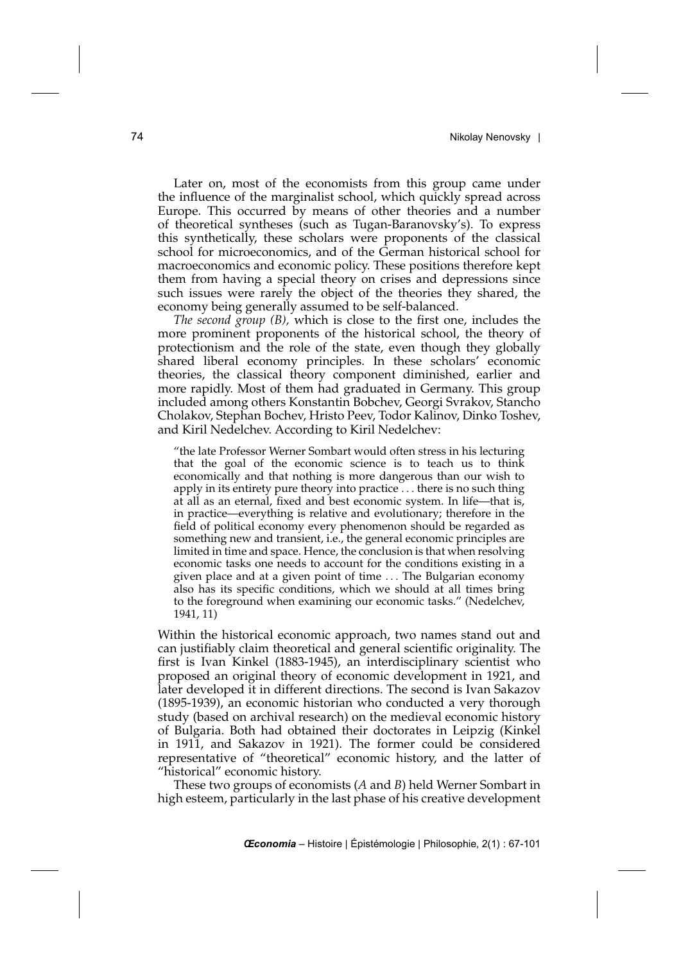Later on, most of the economists from this group came under the influence of the marginalist school, which quickly spread across Europe. This occurred by means of other theories and a number of theoretical syntheses (such as Tugan-Baranovsky's). To express this synthetically, these scholars were proponents of the classical school for microeconomics, and of the German historical school for macroeconomics and economic policy. These positions therefore kept them from having a special theory on crises and depressions since such issues were rarely the object of the theories they shared, the economy being generally assumed to be self-balanced.

*The second group (B),* which is close to the first one, includes the more prominent proponents of the historical school, the theory of protectionism and the role of the state, even though they globally shared liberal economy principles. In these scholars' economic theories, the classical theory component diminished, earlier and more rapidly. Most of them had graduated in Germany. This group included among others Konstantin Bobchev, Georgi Svrakov, Stancho Cholakov, Stephan Bochev, Hristo Peev, Todor Kalinov, Dinko Toshev, and Kiril Nedelchev. According to Kiril Nedelchev:

"the late Professor Werner Sombart would often stress in his lecturing that the goal of the economic science is to teach us to think economically and that nothing is more dangerous than our wish to apply in its entirety pure theory into practice *...* there is no such thing at all as an eternal, fixed and best economic system. In life—that is, in practice—everything is relative and evolutionary; therefore in the field of political economy every phenomenon should be regarded as something new and transient, i.e., the general economic principles are limited in time and space. Hence, the conclusion is that when resolving economic tasks one needs to account for the conditions existing in a given place and at a given point of time *...* The Bulgarian economy also has its specific conditions, which we should at all times bring to the foreground when examining our economic tasks." (Nedelchev, 1941, 11)

Within the historical economic approach, two names stand out and can justifiably claim theoretical and general scientific originality. The first is Ivan Kinkel (1883-1945), an interdisciplinary scientist who proposed an original theory of economic development in 1921, and later developed it in different directions. The second is Ivan Sakazov (1895-1939), an economic historian who conducted a very thorough study (based on archival research) on the medieval economic history of Bulgaria. Both had obtained their doctorates in Leipzig (Kinkel in 1911, and Sakazov in 1921). The former could be considered representative of "theoretical" economic history, and the latter of "historical" economic history.

These two groups of economists (*A* and *B*) held Werner Sombart in high esteem, particularly in the last phase of his creative development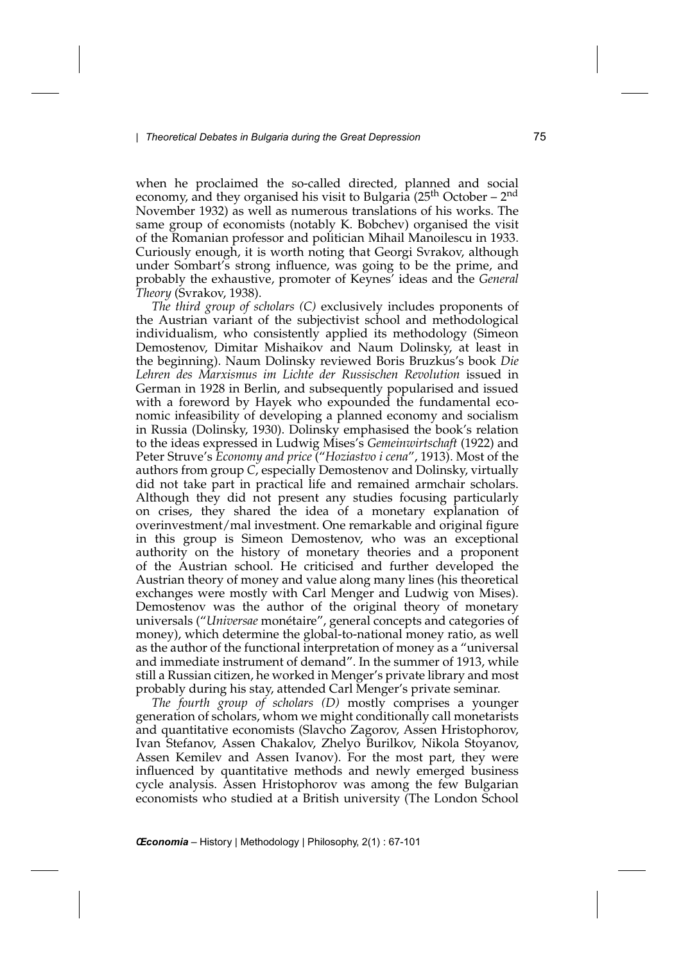when he proclaimed the so-called directed, planned and social economy, and they organised his visit to Bulgaria  $(25<sup>th</sup> October – 2<sup>nd</sup>)$ November 1932) as well as numerous translations of his works. The same group of economists (notably K. Bobchev) organised the visit of the Romanian professor and politician Mihail Manoilescu in 1933. Curiously enough, it is worth noting that Georgi Svrakov, although under Sombart's strong influence, was going to be the prime, and probably the exhaustive, promoter of Keynes' ideas and the *General Theory* (Svrakov, 1938).

*The third group of scholars (C)* exclusively includes proponents of the Austrian variant of the subjectivist school and methodological individualism, who consistently applied its methodology (Simeon Demostenov, Dimitar Mishaikov and Naum Dolinsky, at least in the beginning). Naum Dolinsky reviewed Boris Bruzkus's book *Die Lehren des Marxismus im Lichte der Russischen Revolution* issued in German in 1928 in Berlin, and subsequently popularised and issued with a foreword by Hayek who expounded the fundamental economic infeasibility of developing a planned economy and socialism in Russia (Dolinsky, 1930). Dolinsky emphasised the book's relation to the ideas expressed in Ludwig Mises's *Gemeinwirtschaft* (1922) and Peter Struve's *Economy and price* ("*Hoziastvo i cena*", 1913). Most of the authors from group *C*, especially Demostenov and Dolinsky, virtually did not take part in practical life and remained armchair scholars. Although they did not present any studies focusing particularly on crises, they shared the idea of a monetary explanation of overinvestment/mal investment. One remarkable and original figure in this group is Simeon Demostenov, who was an exceptional authority on the history of monetary theories and a proponent of the Austrian school. He criticised and further developed the Austrian theory of money and value along many lines (his theoretical exchanges were mostly with Carl Menger and Ludwig von Mises). Demostenov was the author of the original theory of monetary universals ("*Universae* monétaire", general concepts and categories of money), which determine the global-to-national money ratio, as well as the author of the functional interpretation of money as a "universal and immediate instrument of demand". In the summer of 1913, while still a Russian citizen, he worked in Menger's private library and most probably during his stay, attended Carl Menger's private seminar.

*The fourth group of scholars (D)* mostly comprises a younger generation of scholars, whom we might conditionally call monetarists and quantitative economists (Slavcho Zagorov, Assen Hristophorov, Ivan Stefanov, Assen Chakalov, Zhelyo Burilkov, Nikola Stoyanov, Assen Kemilev and Assen Ivanov). For the most part, they were influenced by quantitative methods and newly emerged business cycle analysis. Assen Hristophorov was among the few Bulgarian economists who studied at a British university (The London School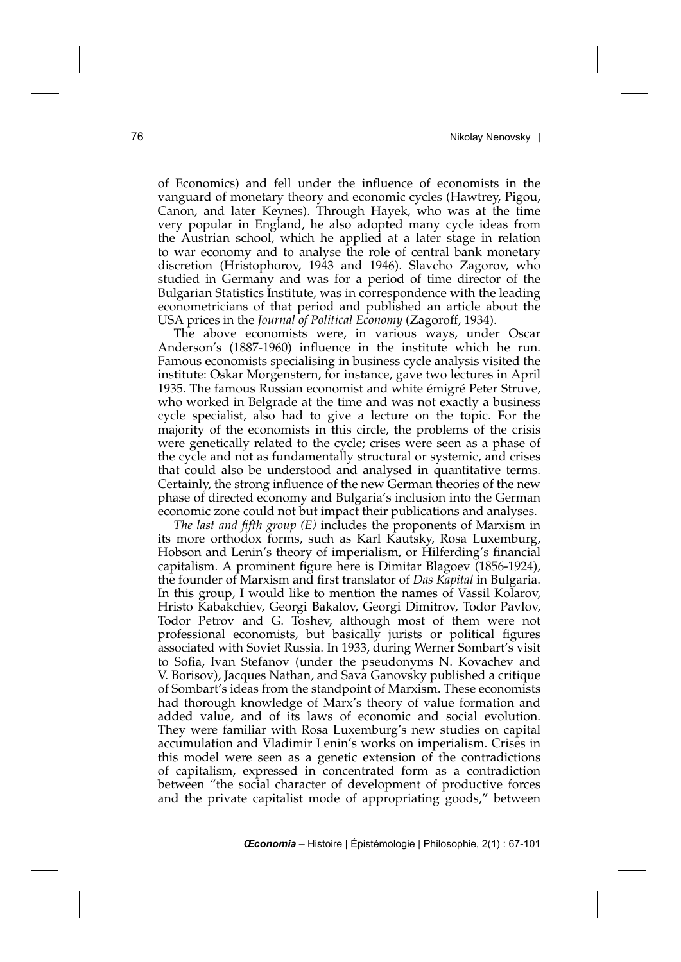of Economics) and fell under the influence of economists in the vanguard of monetary theory and economic cycles (Hawtrey, Pigou, Canon, and later Keynes). Through Hayek, who was at the time very popular in England, he also adopted many cycle ideas from the Austrian school, which he applied at a later stage in relation to war economy and to analyse the role of central bank monetary discretion (Hristophorov, 1943 and 1946). Slavcho Zagorov, who studied in Germany and was for a period of time director of the Bulgarian Statistics Institute, was in correspondence with the leading econometricians of that period and published an article about the USA prices in the *Journal of Political Economy* (Zagoroff, 1934).

The above economists were, in various ways, under Oscar Anderson's (1887-1960) influence in the institute which he run. Famous economists specialising in business cycle analysis visited the institute: Oskar Morgenstern, for instance, gave two lectures in April 1935. The famous Russian economist and white émigré Peter Struve, who worked in Belgrade at the time and was not exactly a business cycle specialist, also had to give a lecture on the topic. For the majority of the economists in this circle, the problems of the crisis were genetically related to the cycle; crises were seen as a phase of the cycle and not as fundamentally structural or systemic, and crises that could also be understood and analysed in quantitative terms. Certainly, the strong influence of the new German theories of the new phase of directed economy and Bulgaria's inclusion into the German economic zone could not but impact their publications and analyses.

*The last and fifth group (E)* includes the proponents of Marxism in its more orthodox forms, such as Karl Kautsky, Rosa Luxemburg, Hobson and Lenin's theory of imperialism, or Hilferding's financial capitalism. A prominent figure here is Dimitar Blagoev (1856-1924), the founder of Marxism and first translator of *Das Kapital* in Bulgaria. In this group, I would like to mention the names of Vassil Kolarov, Hristo Kabakchiev, Georgi Bakalov, Georgi Dimitrov, Todor Pavlov, Todor Petrov and G. Toshev, although most of them were not professional economists, but basically jurists or political figures associated with Soviet Russia. In 1933, during Werner Sombart's visit to Sofia, Ivan Stefanov (under the pseudonyms N. Kovachev and V. Borisov), Jacques Nathan, and Sava Ganovsky published a critique of Sombart's ideas from the standpoint of Marxism. These economists had thorough knowledge of Marx's theory of value formation and added value, and of its laws of economic and social evolution. They were familiar with Rosa Luxemburg's new studies on capital accumulation and Vladimir Lenin's works on imperialism. Crises in this model were seen as a genetic extension of the contradictions of capitalism, expressed in concentrated form as a contradiction between "the social character of development of productive forces and the private capitalist mode of appropriating goods," between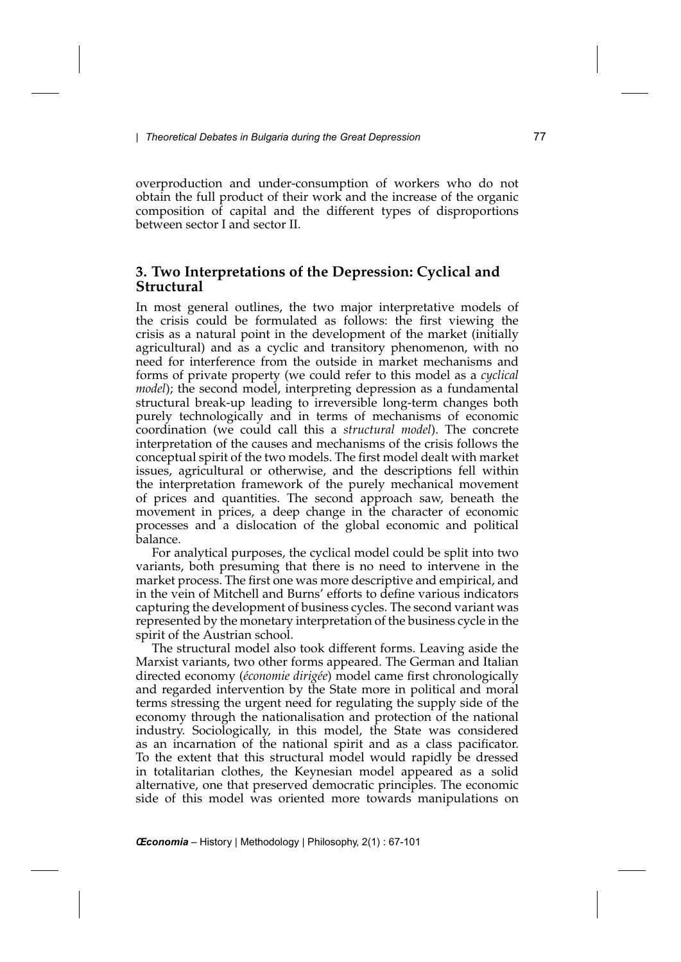overproduction and under-consumption of workers who do not obtain the full product of their work and the increase of the organic composition of capital and the different types of disproportions between sector I and sector II.

## **3. Two Interpretations of the Depression: Cyclical and Structural**

In most general outlines, the two major interpretative models of the crisis could be formulated as follows: the first viewing the crisis as a natural point in the development of the market (initially agricultural) and as a cyclic and transitory phenomenon, with no need for interference from the outside in market mechanisms and forms of private property (we could refer to this model as a *cyclical model*); the second model, interpreting depression as a fundamental structural break-up leading to irreversible long-term changes both purely technologically and in terms of mechanisms of economic coordination (we could call this a *structural model*). The concrete interpretation of the causes and mechanisms of the crisis follows the conceptual spirit of the two models. The first model dealt with market issues, agricultural or otherwise, and the descriptions fell within the interpretation framework of the purely mechanical movement of prices and quantities. The second approach saw, beneath the movement in prices, a deep change in the character of economic processes and a dislocation of the global economic and political balance.

For analytical purposes, the cyclical model could be split into two variants, both presuming that there is no need to intervene in the market process. The first one was more descriptive and empirical, and in the vein of Mitchell and Burns' efforts to define various indicators capturing the development of business cycles. The second variant was represented by the monetary interpretation of the business cycle in the spirit of the Austrian school.

The structural model also took different forms. Leaving aside the Marxist variants, two other forms appeared. The German and Italian directed economy (*économie dirigée*) model came first chronologically and regarded intervention by the State more in political and moral terms stressing the urgent need for regulating the supply side of the economy through the nationalisation and protection of the national industry. Sociologically, in this model, the State was considered as an incarnation of the national spirit and as a class pacificator. To the extent that this structural model would rapidly be dressed in totalitarian clothes, the Keynesian model appeared as a solid alternative, one that preserved democratic principles. The economic side of this model was oriented more towards manipulations on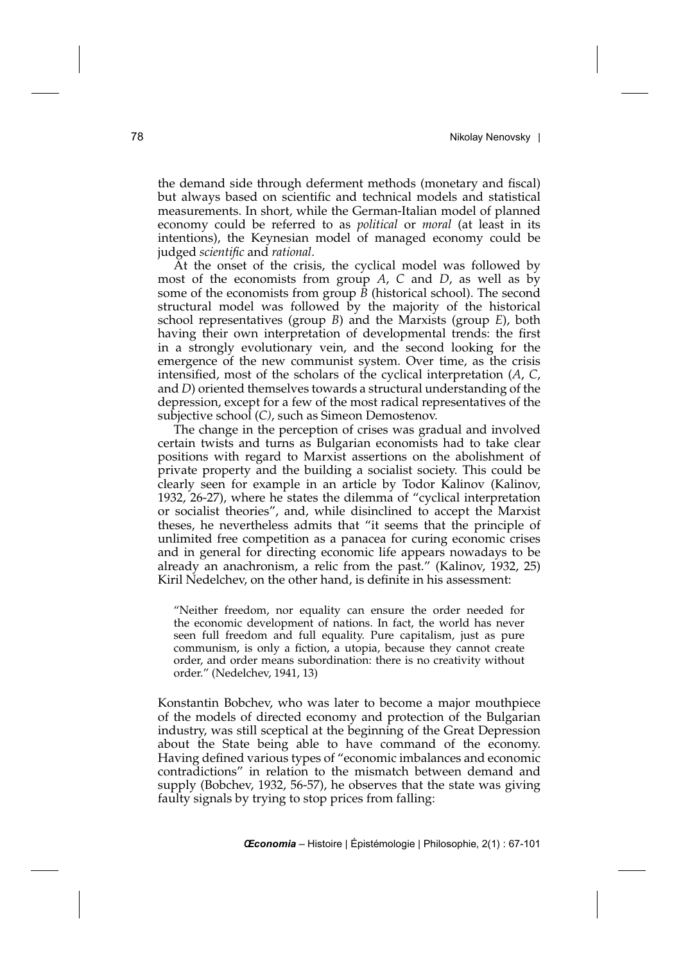the demand side through deferment methods (monetary and fiscal) but always based on scientific and technical models and statistical measurements. In short, while the German-Italian model of planned economy could be referred to as *political* or *moral* (at least in its intentions), the Keynesian model of managed economy could be judged *scientific* and *rational*.

At the onset of the crisis, the cyclical model was followed by most of the economists from group *A*, *C* and *D*, as well as by some of the economists from group  $\overline{B}$  (historical school). The second structural model was followed by the majority of the historical school representatives (group *B*) and the Marxists (group *E*), both having their own interpretation of developmental trends: the first in a strongly evolutionary vein, and the second looking for the emergence of the new communist system. Over time, as the crisis intensified, most of the scholars of the cyclical interpretation (*A*, *C*, and *D*) oriented themselves towards a structural understanding of the depression, except for a few of the most radical representatives of the subjective school (*C)*, such as Simeon Demostenov.

The change in the perception of crises was gradual and involved certain twists and turns as Bulgarian economists had to take clear positions with regard to Marxist assertions on the abolishment of private property and the building a socialist society. This could be clearly seen for example in an article by Todor Kalinov (Kalinov, 1932, 26-27), where he states the dilemma of "cyclical interpretation or socialist theories", and, while disinclined to accept the Marxist theses, he nevertheless admits that "it seems that the principle of unlimited free competition as a panacea for curing economic crises and in general for directing economic life appears nowadays to be already an anachronism, a relic from the past." (Kalinov, 1932, 25) Kiril Nedelchev, on the other hand, is definite in his assessment:

"Neither freedom, nor equality can ensure the order needed for the economic development of nations. In fact, the world has never seen full freedom and full equality. Pure capitalism, just as pure communism, is only a fiction, a utopia, because they cannot create order, and order means subordination: there is no creativity without order." (Nedelchev, 1941, 13)

Konstantin Bobchev, who was later to become a major mouthpiece of the models of directed economy and protection of the Bulgarian industry, was still sceptical at the beginning of the Great Depression about the State being able to have command of the economy. Having defined various types of "economic imbalances and economic contradictions" in relation to the mismatch between demand and supply (Bobchev, 1932, 56-57), he observes that the state was giving faulty signals by trying to stop prices from falling: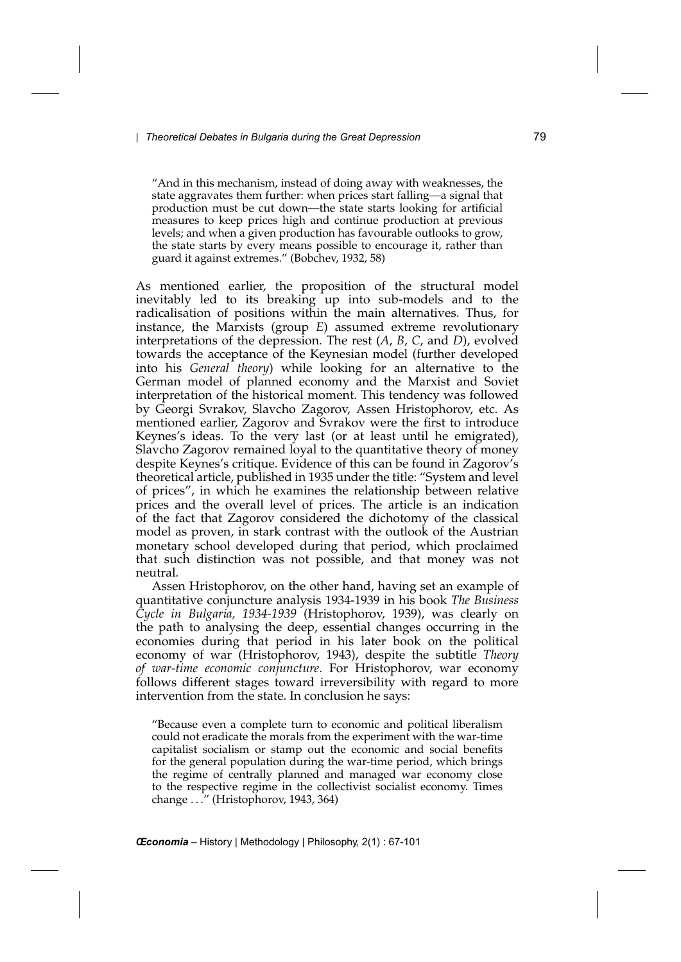"And in this mechanism, instead of doing away with weaknesses, the state aggravates them further: when prices start falling—a signal that production must be cut down—the state starts looking for artificial measures to keep prices high and continue production at previous levels; and when a given production has favourable outlooks to grow, the state starts by every means possible to encourage it, rather than guard it against extremes." (Bobchev, 1932, 58)

As mentioned earlier, the proposition of the structural model inevitably led to its breaking up into sub-models and to the radicalisation of positions within the main alternatives. Thus, for instance, the Marxists (group *E*) assumed extreme revolutionary interpretations of the depression. The rest (*A*, *B*, *C*, and *D*), evolved towards the acceptance of the Keynesian model (further developed into his *General theory*) while looking for an alternative to the German model of planned economy and the Marxist and Soviet interpretation of the historical moment. This tendency was followed by Georgi Svrakov, Slavcho Zagorov, Assen Hristophorov, etc. As mentioned earlier, Zagorov and Svrakov were the first to introduce Keynes's ideas. To the very last (or at least until he emigrated), Slavcho Zagorov remained loyal to the quantitative theory of money despite Keynes's critique. Evidence of this can be found in Zagorov's theoretical article, published in 1935 under the title: "System and level of prices", in which he examines the relationship between relative prices and the overall level of prices. The article is an indication of the fact that Zagorov considered the dichotomy of the classical model as proven, in stark contrast with the outlook of the Austrian monetary school developed during that period, which proclaimed that such distinction was not possible, and that money was not neutral.

Assen Hristophorov, on the other hand, having set an example of quantitative conjuncture analysis 1934-1939 in his book *The Business Cycle in Bulgaria, 1934-1939* (Hristophorov, 1939), was clearly on the path to analysing the deep, essential changes occurring in the economies during that period in his later book on the political economy of war (Hristophorov, 1943), despite the subtitle *Theory of war-time economic conjuncture*. For Hristophorov, war economy follows different stages toward irreversibility with regard to more intervention from the state. In conclusion he says:

"Because even a complete turn to economic and political liberalism could not eradicate the morals from the experiment with the war-time capitalist socialism or stamp out the economic and social benefits for the general population during the war-time period, which brings the regime of centrally planned and managed war economy close to the respective regime in the collectivist socialist economy. Times change *...*" (Hristophorov, 1943, 364)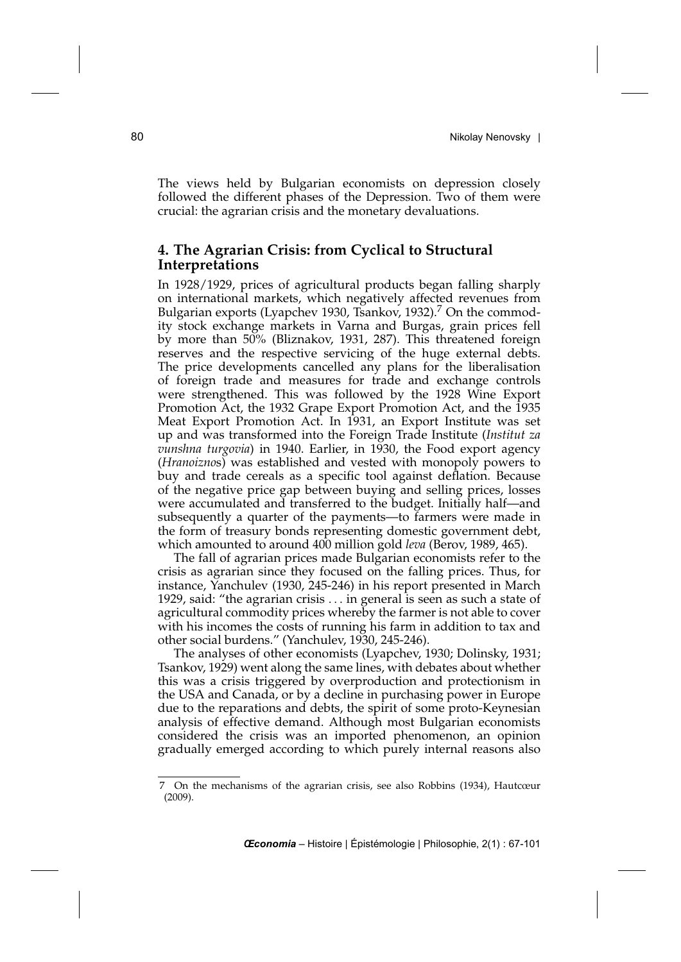The views held by Bulgarian economists on depression closely followed the different phases of the Depression. Two of them were crucial: the agrarian crisis and the monetary devaluations.

## **4. The Agrarian Crisis: from Cyclical to Structural Interpretations**

In 1928/1929, prices of agricultural products began falling sharply on international markets, which negatively affected revenues from Bulgarian exports (Lyapchev 1930, Tsankov, 1932).<sup>7</sup> On the commodity stock exchange markets in Varna and Burgas, grain prices fell by more than 50% (Bliznakov, 1931, 287). This threatened foreign reserves and the respective servicing of the huge external debts. The price developments cancelled any plans for the liberalisation of foreign trade and measures for trade and exchange controls were strengthened. This was followed by the 1928 Wine Export Promotion Act, the 1932 Grape Export Promotion Act, and the 1935 Meat Export Promotion Act. In 1931, an Export Institute was set up and was transformed into the Foreign Trade Institute (*Institut za vunshna turgovia*) in 1940. Earlier, in 1930, the Food export agency (*Hranoizno*s) was established and vested with monopoly powers to buy and trade cereals as a specific tool against deflation. Because of the negative price gap between buying and selling prices, losses were accumulated and transferred to the budget. Initially half—and subsequently a quarter of the payments—to farmers were made in the form of treasury bonds representing domestic government debt, which amounted to around 400 million gold *leva* (Berov, 1989, 465).

The fall of agrarian prices made Bulgarian economists refer to the crisis as agrarian since they focused on the falling prices. Thus, for instance, Yanchulev (1930, 245-246) in his report presented in March 1929, said: "the agrarian crisis *...* in general is seen as such a state of agricultural commodity prices whereby the farmer is not able to cover with his incomes the costs of running his farm in addition to tax and other social burdens." (Yanchulev, 1930, 245-246).

The analyses of other economists (Lyapchev, 1930; Dolinsky, 1931; Tsankov, 1929) went along the same lines, with debates about whether this was a crisis triggered by overproduction and protectionism in the USA and Canada, or by a decline in purchasing power in Europe due to the reparations and debts, the spirit of some proto-Keynesian analysis of effective demand. Although most Bulgarian economists considered the crisis was an imported phenomenon, an opinion gradually emerged according to which purely internal reasons also

<sup>7</sup> On the mechanisms of the agrarian crisis, see also Robbins (1934), Hautcœur (2009).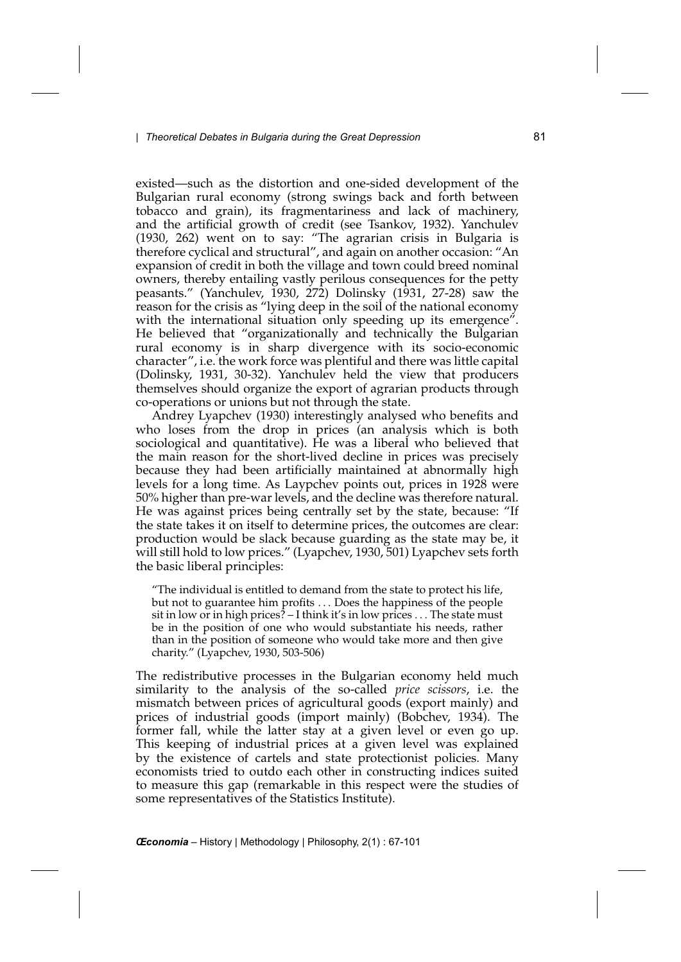existed—such as the distortion and one-sided development of the Bulgarian rural economy (strong swings back and forth between tobacco and grain), its fragmentariness and lack of machinery, and the artificial growth of credit (see Tsankov, 1932). Yanchulev (1930, 262) went on to say: "The agrarian crisis in Bulgaria is therefore cyclical and structural", and again on another occasion: "An expansion of credit in both the village and town could breed nominal owners, thereby entailing vastly perilous consequences for the petty peasants." (Yanchulev, 1930, 272) Dolinsky (1931, 27-28) saw the reason for the crisis as "lying deep in the soil of the national economy with the international situation only speeding up its emergence". He believed that "organizationally and technically the Bulgarian rural economy is in sharp divergence with its socio-economic character", i.e. the work force was plentiful and there was little capital (Dolinsky, 1931, 30-32). Yanchulev held the view that producers themselves should organize the export of agrarian products through co-operations or unions but not through the state.

Andrey Lyapchev (1930) interestingly analysed who benefits and who loses from the drop in prices (an analysis which is both sociological and quantitative). He was a liberal who believed that the main reason for the short-lived decline in prices was precisely because they had been artificially maintained at abnormally high levels for a long time. As Laypchev points out, prices in 1928 were 50% higher than pre-war levels, and the decline was therefore natural. He was against prices being centrally set by the state, because: "If the state takes it on itself to determine prices, the outcomes are clear: production would be slack because guarding as the state may be, it will still hold to low prices." (Lyapchev, 1930, 501) Lyapchev sets forth the basic liberal principles:

"The individual is entitled to demand from the state to protect his life, but not to guarantee him profits *...* Does the happiness of the people sit in low or in high prices? – I think it's in low prices *...* The state must be in the position of one who would substantiate his needs, rather than in the position of someone who would take more and then give charity." (Lyapchev, 1930, 503-506)

The redistributive processes in the Bulgarian economy held much similarity to the analysis of the so-called *price scissors*, i.e. the mismatch between prices of agricultural goods (export mainly) and prices of industrial goods (import mainly) (Bobchev, 1934). The former fall, while the latter stay at a given level or even go up. This keeping of industrial prices at a given level was explained by the existence of cartels and state protectionist policies. Many economists tried to outdo each other in constructing indices suited to measure this gap (remarkable in this respect were the studies of some representatives of the Statistics Institute).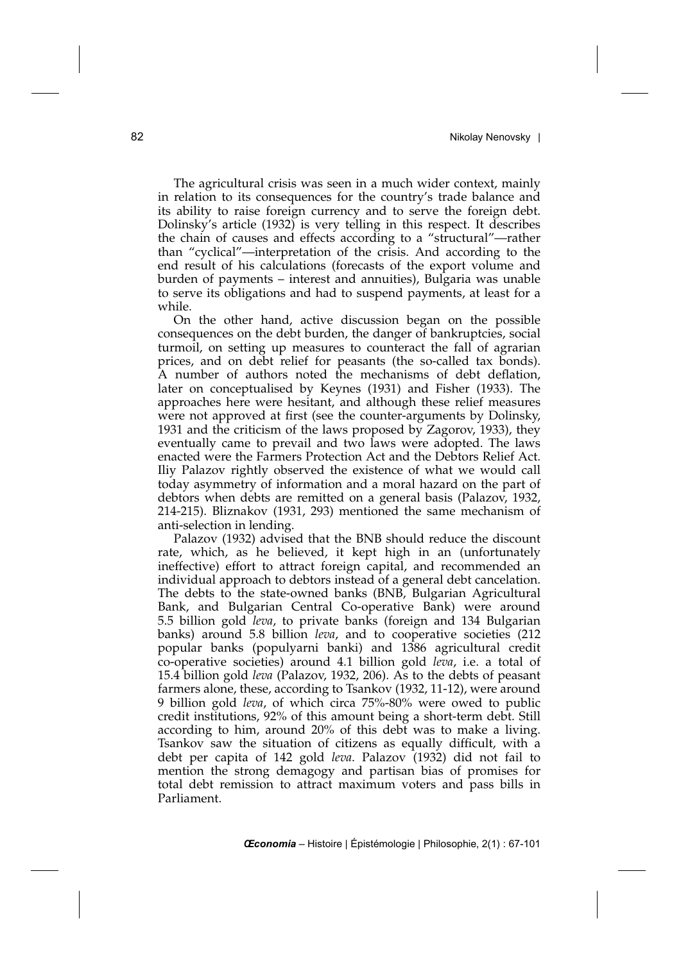The agricultural crisis was seen in a much wider context, mainly in relation to its consequences for the country's trade balance and its ability to raise foreign currency and to serve the foreign debt. Dolinsky's article (1932) is very telling in this respect. It describes the chain of causes and effects according to a "structural"—rather than "cyclical"—interpretation of the crisis. And according to the end result of his calculations (forecasts of the export volume and burden of payments – interest and annuities), Bulgaria was unable to serve its obligations and had to suspend payments, at least for a while.

On the other hand, active discussion began on the possible consequences on the debt burden, the danger of bankruptcies, social turmoil, on setting up measures to counteract the fall of agrarian prices, and on debt relief for peasants (the so-called tax bonds). A number of authors noted the mechanisms of debt deflation, later on conceptualised by Keynes (1931) and Fisher (1933). The approaches here were hesitant, and although these relief measures were not approved at first (see the counter-arguments by Dolinsky, 1931 and the criticism of the laws proposed by Zagorov, 1933), they eventually came to prevail and two laws were adopted. The laws enacted were the Farmers Protection Act and the Debtors Relief Act. Iliy Palazov rightly observed the existence of what we would call today asymmetry of information and a moral hazard on the part of debtors when debts are remitted on a general basis (Palazov, 1932, 214-215). Bliznakov (1931, 293) mentioned the same mechanism of anti-selection in lending.

Palazov (1932) advised that the BNB should reduce the discount rate, which, as he believed, it kept high in an (unfortunately ineffective) effort to attract foreign capital, and recommended an individual approach to debtors instead of a general debt cancelation. The debts to the state-owned banks (BNB, Bulgarian Agricultural Bank, and Bulgarian Central Co-operative Bank) were around 5.5 billion gold *leva*, to private banks (foreign and 134 Bulgarian banks) around 5.8 billion *leva*, and to cooperative societies (212 popular banks (populyarni banki) and 1386 agricultural credit co-operative societies) around 4.1 billion gold *leva*, i.e. a total of 15.4 billion gold *leva* (Palazov, 1932, 206). As to the debts of peasant farmers alone, these, according to Tsankov (1932, 11-12), were around 9 billion gold *leva*, of which circa 75%-80% were owed to public credit institutions, 92% of this amount being a short-term debt. Still according to him, around 20% of this debt was to make a living. Tsankov saw the situation of citizens as equally difficult, with a debt per capita of 142 gold leva. Palazov (1932) did not fail to mention the strong demagogy and partisan bias of promises for total debt remission to attract maximum voters and pass bills in Parliament.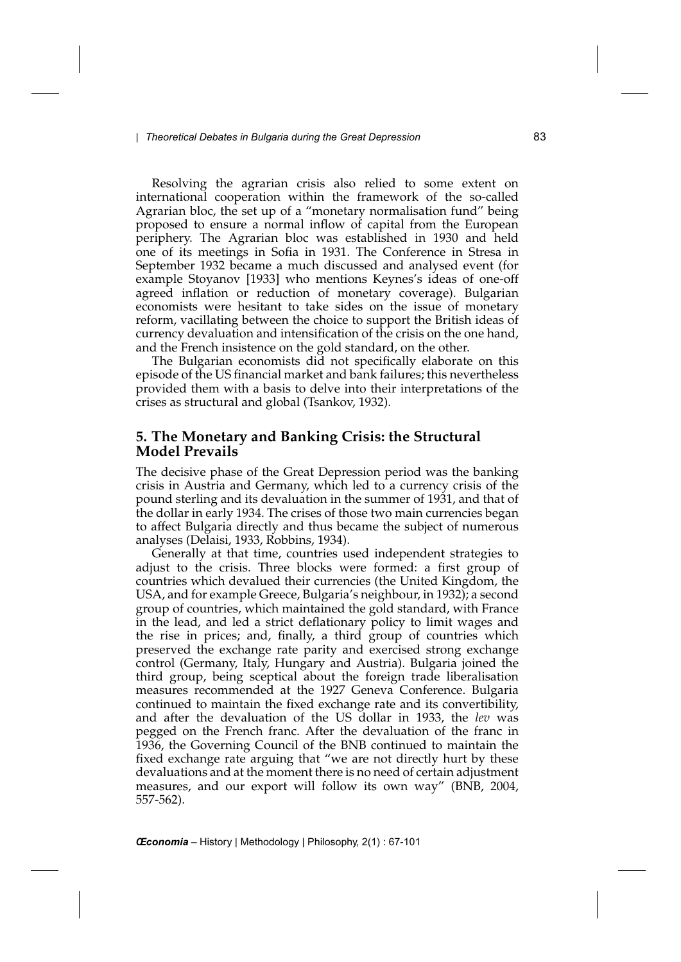Resolving the agrarian crisis also relied to some extent on international cooperation within the framework of the so-called Agrarian bloc, the set up of a "monetary normalisation fund" being proposed to ensure a normal inflow of capital from the European periphery. The Agrarian bloc was established in 1930 and held one of its meetings in Sofia in 1931. The Conference in Stresa in September 1932 became a much discussed and analysed event (for example Stoyanov [1933] who mentions Keynes's ideas of one-off agreed inflation or reduction of monetary coverage). Bulgarian economists were hesitant to take sides on the issue of monetary reform, vacillating between the choice to support the British ideas of currency devaluation and intensification of the crisis on the one hand, and the French insistence on the gold standard, on the other.

The Bulgarian economists did not specifically elaborate on this episode of the US financial market and bank failures; this nevertheless provided them with a basis to delve into their interpretations of the crises as structural and global (Tsankov, 1932).

## **5. The Monetary and Banking Crisis: the Structural Model Prevails**

The decisive phase of the Great Depression period was the banking crisis in Austria and Germany, which led to a currency crisis of the pound sterling and its devaluation in the summer of 1931, and that of the dollar in early 1934. The crises of those two main currencies began to affect Bulgaria directly and thus became the subject of numerous analyses (Delaisi, 1933, Robbins, 1934).

Generally at that time, countries used independent strategies to adjust to the crisis. Three blocks were formed: a first group of countries which devalued their currencies (the United Kingdom, the USA, and for example Greece, Bulgaria's neighbour, in 1932); a second group of countries, which maintained the gold standard, with France in the lead, and led a strict deflationary policy to limit wages and the rise in prices; and, finally, a third group of countries which preserved the exchange rate parity and exercised strong exchange control (Germany, Italy, Hungary and Austria). Bulgaria joined the third group, being sceptical about the foreign trade liberalisation measures recommended at the 1927 Geneva Conference. Bulgaria continued to maintain the fixed exchange rate and its convertibility, and after the devaluation of the US dollar in 1933, the *lev* was pegged on the French franc. After the devaluation of the franc in 1936, the Governing Council of the BNB continued to maintain the fixed exchange rate arguing that "we are not directly hurt by these devaluations and at the moment there is no need of certain adjustment measures, and our export will follow its own way" (BNB, 2004, 557-562).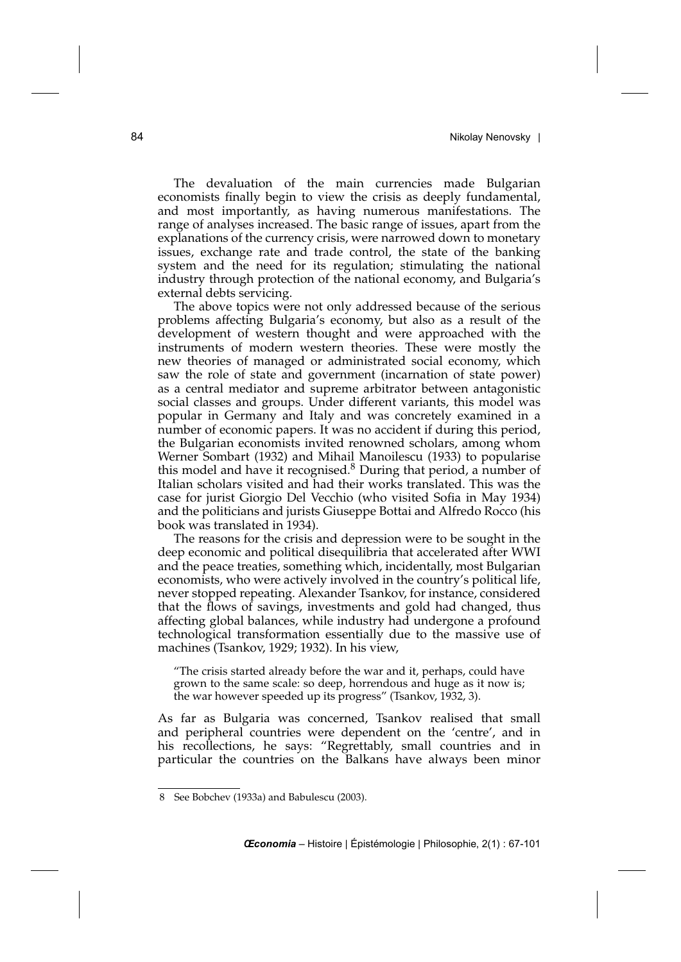The devaluation of the main currencies made Bulgarian economists finally begin to view the crisis as deeply fundamental, and most importantly, as having numerous manifestations. The range of analyses increased. The basic range of issues, apart from the explanations of the currency crisis, were narrowed down to monetary issues, exchange rate and trade control, the state of the banking system and the need for its regulation; stimulating the national industry through protection of the national economy, and Bulgaria's external debts servicing.

The above topics were not only addressed because of the serious problems affecting Bulgaria's economy, but also as a result of the development of western thought and were approached with the instruments of modern western theories. These were mostly the new theories of managed or administrated social economy, which saw the role of state and government (incarnation of state power) as a central mediator and supreme arbitrator between antagonistic social classes and groups. Under different variants, this model was popular in Germany and Italy and was concretely examined in a number of economic papers. It was no accident if during this period, the Bulgarian economists invited renowned scholars, among whom Werner Sombart (1932) and Mihail Manoilescu (1933) to popularise this model and have it recognised.<sup>8</sup> During that period, a number of Italian scholars visited and had their works translated. This was the case for jurist Giorgio Del Vecchio (who visited Sofia in May 1934) and the politicians and jurists Giuseppe Bottai and Alfredo Rocco (his book was translated in 1934).

The reasons for the crisis and depression were to be sought in the deep economic and political disequilibria that accelerated after WWI and the peace treaties, something which, incidentally, most Bulgarian economists, who were actively involved in the country's political life, never stopped repeating. Alexander Tsankov, for instance, considered that the flows of savings, investments and gold had changed, thus affecting global balances, while industry had undergone a profound technological transformation essentially due to the massive use of machines (Tsankov, 1929; 1932). In his view,

"The crisis started already before the war and it, perhaps, could have grown to the same scale: so deep, horrendous and huge as it now is; the war however speeded up its progress" (Tsankov, 1932, 3).

As far as Bulgaria was concerned, Tsankov realised that small and peripheral countries were dependent on the 'centre', and in his recollections, he says: "Regrettably, small countries and in particular the countries on the Balkans have always been minor

<sup>8</sup> See Bobchev (1933a) and Babulescu (2003).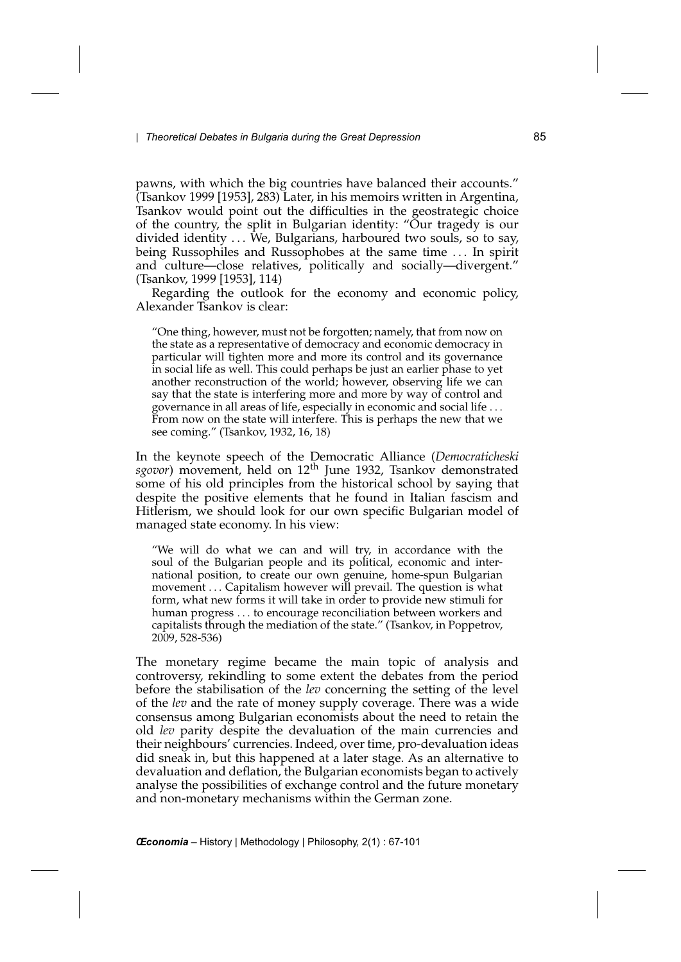pawns, with which the big countries have balanced their accounts." (Tsankov 1999 [1953], 283) Later, in his memoirs written in Argentina, Tsankov would point out the difficulties in the geostrategic choice of the country, the split in Bulgarian identity: "Our tragedy is our divided identity *...* We, Bulgarians, harboured two souls, so to say, being Russophiles and Russophobes at the same time *...* In spirit and culture—close relatives, politically and socially—divergent." (Tsankov, 1999 [1953], 114)

Regarding the outlook for the economy and economic policy, Alexander Tsankov is clear:

"One thing, however, must not be forgotten; namely, that from now on the state as a representative of democracy and economic democracy in particular will tighten more and more its control and its governance in social life as well. This could perhaps be just an earlier phase to yet another reconstruction of the world; however, observing life we can say that the state is interfering more and more by way of control and governance in all areas of life, especially in economic and social life *...* From now on the state will interfere. This is perhaps the new that we see coming." (Tsankov, 1932, 16, 18)

In the keynote speech of the Democratic Alliance (*Democraticheski sgovor*) movement, held on 12th June 1932, Tsankov demonstrated some of his old principles from the historical school by saying that despite the positive elements that he found in Italian fascism and Hitlerism, we should look for our own specific Bulgarian model of managed state economy. In his view:

"We will do what we can and will try, in accordance with the soul of the Bulgarian people and its political, economic and international position, to create our own genuine, home-spun Bulgarian movement *...* Capitalism however will prevail. The question is what form, what new forms it will take in order to provide new stimuli for human progress *...* to encourage reconciliation between workers and capitalists through the mediation of the state." (Tsankov, in Poppetrov, 2009, 528-536)

The monetary regime became the main topic of analysis and controversy, rekindling to some extent the debates from the period before the stabilisation of the *lev* concerning the setting of the level of the *lev* and the rate of money supply coverage. There was a wide consensus among Bulgarian economists about the need to retain the old *lev* parity despite the devaluation of the main currencies and their neighbours' currencies. Indeed, over time, pro-devaluation ideas did sneak in, but this happened at a later stage. As an alternative to devaluation and deflation, the Bulgarian economists began to actively analyse the possibilities of exchange control and the future monetary and non-monetary mechanisms within the German zone.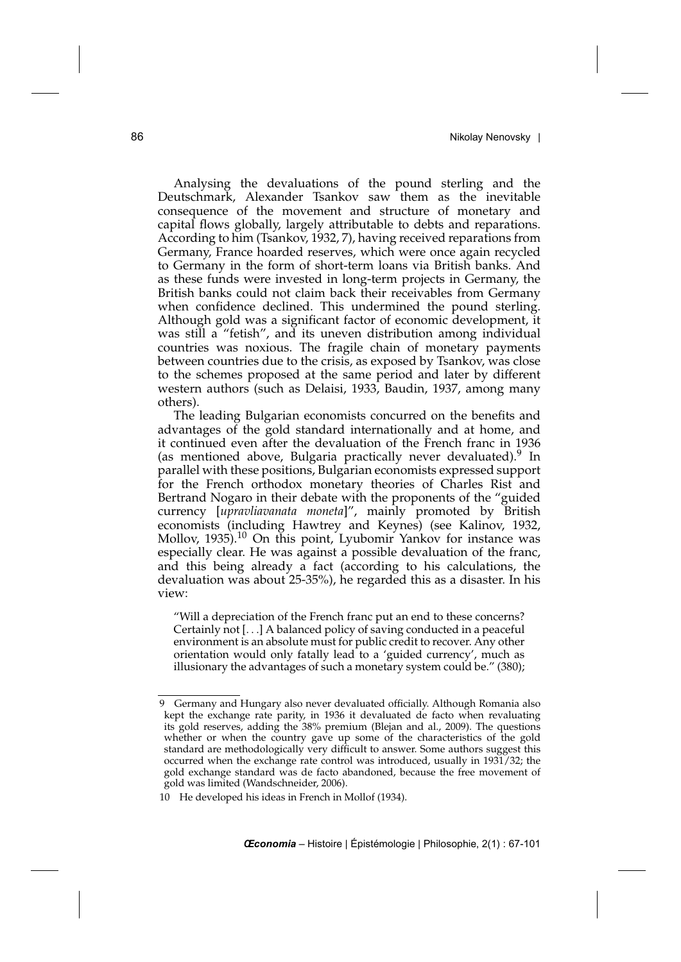Analysing the devaluations of the pound sterling and the Deutschmark, Alexander Tsankov saw them as the inevitable consequence of the movement and structure of monetary and capital flows globally, largely attributable to debts and reparations. According to him (Tsankov, 1932, 7), having received reparations from Germany, France hoarded reserves, which were once again recycled to Germany in the form of short-term loans via British banks. And as these funds were invested in long-term projects in Germany, the British banks could not claim back their receivables from Germany when confidence declined. This undermined the pound sterling. Although gold was a significant factor of economic development, it was still a "fetish", and its uneven distribution among individual countries was noxious. The fragile chain of monetary payments between countries due to the crisis, as exposed by Tsankov, was close to the schemes proposed at the same period and later by different western authors (such as Delaisi, 1933, Baudin, 1937, among many others).

The leading Bulgarian economists concurred on the benefits and advantages of the gold standard internationally and at home, and it continued even after the devaluation of the French franc in 1936 (as mentioned above, Bulgaria practically never devaluated). In parallel with these positions, Bulgarian economists expressed support for the French orthodox monetary theories of Charles Rist and Bertrand Nogaro in their debate with the proponents of the "guided currency [*upravliavanata moneta*]", mainly promoted by British economists (including Hawtrey and Keynes) (see Kalinov, 1932, Mollov, 1935).10 On this point, Lyubomir Yankov for instance was especially clear. He was against a possible devaluation of the franc, and this being already a fact (according to his calculations, the devaluation was about 25-35%), he regarded this as a disaster. In his view:

"Will a depreciation of the French franc put an end to these concerns? Certainly not [*...*] A balanced policy of saving conducted in a peaceful environment is an absolute must for public credit to recover. Any other orientation would only fatally lead to a 'guided currency', much as illusionary the advantages of such a monetary system could be." (380);

<sup>9</sup> Germany and Hungary also never devaluated officially. Although Romania also kept the exchange rate parity, in 1936 it devaluated de facto when revaluating its gold reserves, adding the 38% premium (Blejan and al., 2009). The questions whether or when the country gave up some of the characteristics of the gold standard are methodologically very difficult to answer. Some authors suggest this occurred when the exchange rate control was introduced, usually in 1931/32; the gold exchange standard was de facto abandoned, because the free movement of gold was limited (Wandschneider, 2006).

<sup>10</sup> He developed his ideas in French in Mollof (1934).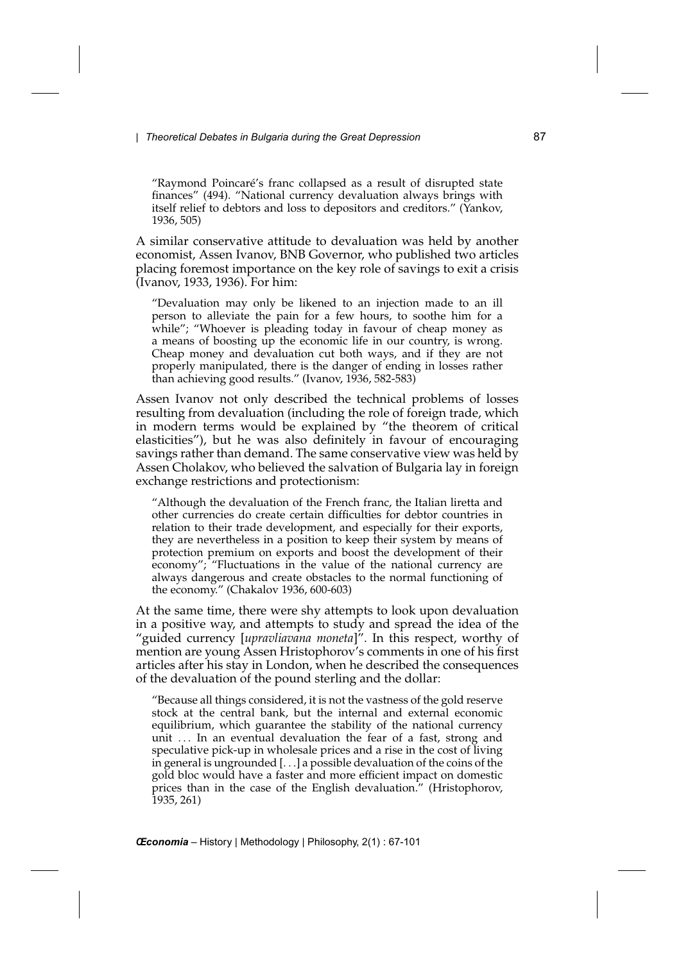"Raymond Poincaré's franc collapsed as a result of disrupted state finances" (494). "National currency devaluation always brings with itself relief to debtors and loss to depositors and creditors." (Yankov, 1936, 505)

A similar conservative attitude to devaluation was held by another economist, Assen Ivanov, BNB Governor, who published two articles placing foremost importance on the key role of savings to exit a crisis (Ivanov, 1933, 1936). For him:

"Devaluation may only be likened to an injection made to an ill person to alleviate the pain for a few hours, to soothe him for a while"; "Whoever is pleading today in favour of cheap money as a means of boosting up the economic life in our country, is wrong. Cheap money and devaluation cut both ways, and if they are not properly manipulated, there is the danger of ending in losses rather than achieving good results." (Ivanov, 1936, 582-583)

Assen Ivanov not only described the technical problems of losses resulting from devaluation (including the role of foreign trade, which in modern terms would be explained by "the theorem of critical elasticities"), but he was also definitely in favour of encouraging savings rather than demand. The same conservative view was held by Assen Cholakov, who believed the salvation of Bulgaria lay in foreign exchange restrictions and protectionism:

"Although the devaluation of the French franc, the Italian liretta and other currencies do create certain difficulties for debtor countries in relation to their trade development, and especially for their exports, they are nevertheless in a position to keep their system by means of protection premium on exports and boost the development of their economy"; "Fluctuations in the value of the national currency are always dangerous and create obstacles to the normal functioning of the economy." (Chakalov 1936, 600-603)

At the same time, there were shy attempts to look upon devaluation in a positive way, and attempts to study and spread the idea of the "guided currency [*upravliavana moneta*]". In this respect, worthy of mention are young Assen Hristophorov's comments in one of his first articles after his stay in London, when he described the consequences of the devaluation of the pound sterling and the dollar:

"Because all things considered, it is not the vastness of the gold reserve stock at the central bank, but the internal and external economic equilibrium, which guarantee the stability of the national currency unit *...* In an eventual devaluation the fear of a fast, strong and speculative pick-up in wholesale prices and a rise in the cost of living in general is ungrounded [*...*] a possible devaluation of the coins of the gold bloc would have a faster and more efficient impact on domestic prices than in the case of the English devaluation." (Hristophorov, 1935, 261)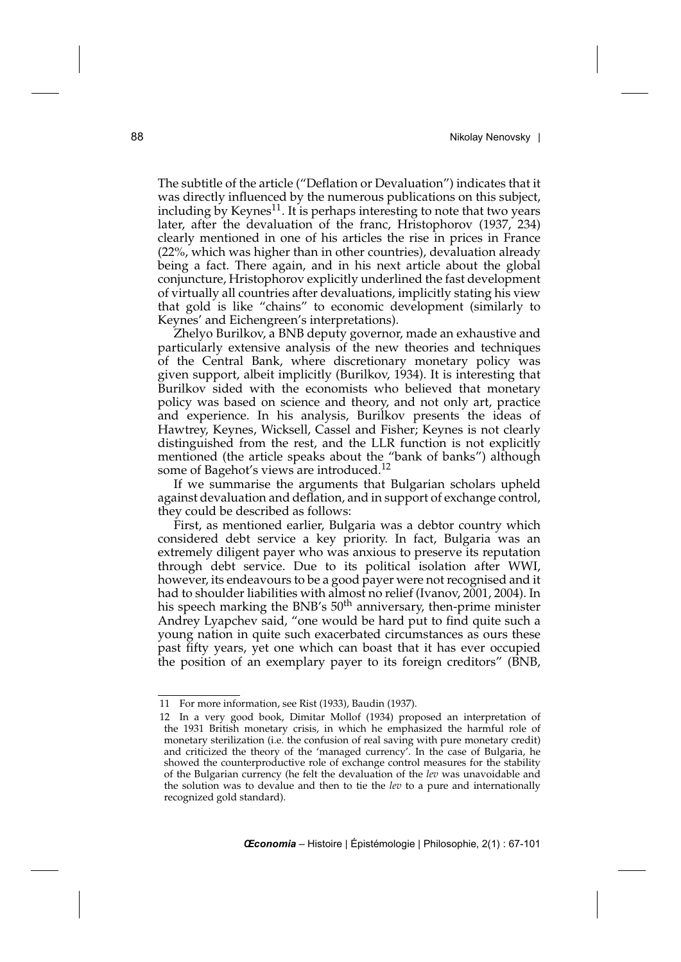The subtitle of the article ("Deflation or Devaluation") indicates that it was directly influenced by the numerous publications on this subject, including by Keynes $^{11}$ . It is perhaps interesting to note that two years later, after the devaluation of the franc, Hristophorov (1937, 234) clearly mentioned in one of his articles the rise in prices in France (22%, which was higher than in other countries), devaluation already being a fact. There again, and in his next article about the global conjuncture, Hristophorov explicitly underlined the fast development of virtually all countries after devaluations, implicitly stating his view that gold is like "chains" to economic development (similarly to Keynes' and Eichengreen's interpretations).

Zhelyo Burilkov, a BNB deputy governor, made an exhaustive and particularly extensive analysis of the new theories and techniques of the Central Bank, where discretionary monetary policy was given support, albeit implicitly (Burilkov, 1934). It is interesting that Burilkov sided with the economists who believed that monetary policy was based on science and theory, and not only art, practice and experience. In his analysis, Burilkov presents the ideas of Hawtrey, Keynes, Wicksell, Cassel and Fisher; Keynes is not clearly distinguished from the rest, and the LLR function is not explicitly mentioned (the article speaks about the "bank of banks") although some of Bagehot's views are introduced.<sup>12</sup>

If we summarise the arguments that Bulgarian scholars upheld against devaluation and deflation, and in support of exchange control, they could be described as follows:

First, as mentioned earlier, Bulgaria was a debtor country which considered debt service a key priority. In fact, Bulgaria was an extremely diligent payer who was anxious to preserve its reputation through debt service. Due to its political isolation after WWI, however, its endeavours to be a good payer were not recognised and it had to shoulder liabilities with almost no relief (Ivanov, 2001, 2004). In his speech marking the BNB's 50<sup>th</sup> anniversary, then-prime minister Andrey Lyapchev said, "one would be hard put to find quite such a young nation in quite such exacerbated circumstances as ours these past fifty years, yet one which can boast that it has ever occupied the position of an exemplary payer to its foreign creditors" (BNB,

<sup>11</sup> For more information, see Rist (1933), Baudin (1937).

<sup>12</sup> In a very good book, Dimitar Mollof (1934) proposed an interpretation of the 1931 British monetary crisis, in which he emphasized the harmful role of monetary sterilization (i.e. the confusion of real saving with pure monetary credit) and criticized the theory of the 'managed currency'. In the case of Bulgaria, he showed the counterproductive role of exchange control measures for the stability of the Bulgarian currency (he felt the devaluation of the *lev* was unavoidable and the solution was to devalue and then to tie the *lev* to a pure and internationally recognized gold standard).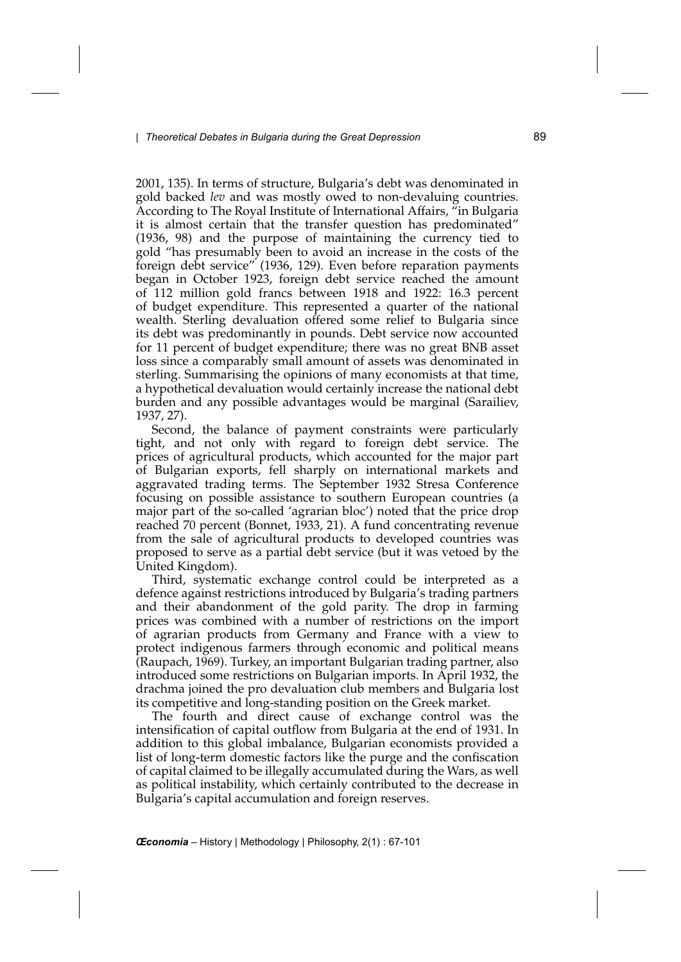2001, 135). In terms of structure, Bulgaria's debt was denominated in gold backed *lev* and was mostly owed to non-devaluing countries. According to The Royal Institute of International Affairs, "in Bulgaria it is almost certain that the transfer question has predominated" (1936, 98) and the purpose of maintaining the currency tied to gold "has presumably been to avoid an increase in the costs of the foreign debt service" (1936, 129). Even before reparation payments began in October 1923, foreign debt service reached the amount of 112 million gold francs between 1918 and 1922: 16.3 percent of budget expenditure. This represented a quarter of the national wealth. Sterling devaluation offered some relief to Bulgaria since its debt was predominantly in pounds. Debt service now accounted for 11 percent of budget expenditure; there was no great BNB asset loss since a comparably small amount of assets was denominated in sterling. Summarising the opinions of many economists at that time, a hypothetical devaluation would certainly increase the national debt burden and any possible advantages would be marginal (Sarailiev, 1937, 27).

Second, the balance of payment constraints were particularly tight, and not only with regard to foreign debt service. The prices of agricultural products, which accounted for the major part of Bulgarian exports, fell sharply on international markets and aggravated trading terms. The September 1932 Stresa Conference focusing on possible assistance to southern European countries (a major part of the so-called 'agrarian bloc') noted that the price drop reached 70 percent (Bonnet, 1933, 21). A fund concentrating revenue from the sale of agricultural products to developed countries was proposed to serve as a partial debt service (but it was vetoed by the United Kingdom).

Third, systematic exchange control could be interpreted as a defence against restrictions introduced by Bulgaria's trading partners and their abandonment of the gold parity. The drop in farming prices was combined with a number of restrictions on the import of agrarian products from Germany and France with a view to protect indigenous farmers through economic and political means (Raupach, 1969). Turkey, an important Bulgarian trading partner, also introduced some restrictions on Bulgarian imports. In April 1932, the drachma joined the pro devaluation club members and Bulgaria lost its competitive and long-standing position on the Greek market.

The fourth and direct cause of exchange control was the intensification of capital outflow from Bulgaria at the end of 1931. In addition to this global imbalance, Bulgarian economists provided a list of long-term domestic factors like the purge and the confiscation of capital claimed to be illegally accumulated during the Wars, as well as political instability, which certainly contributed to the decrease in Bulgaria's capital accumulation and foreign reserves.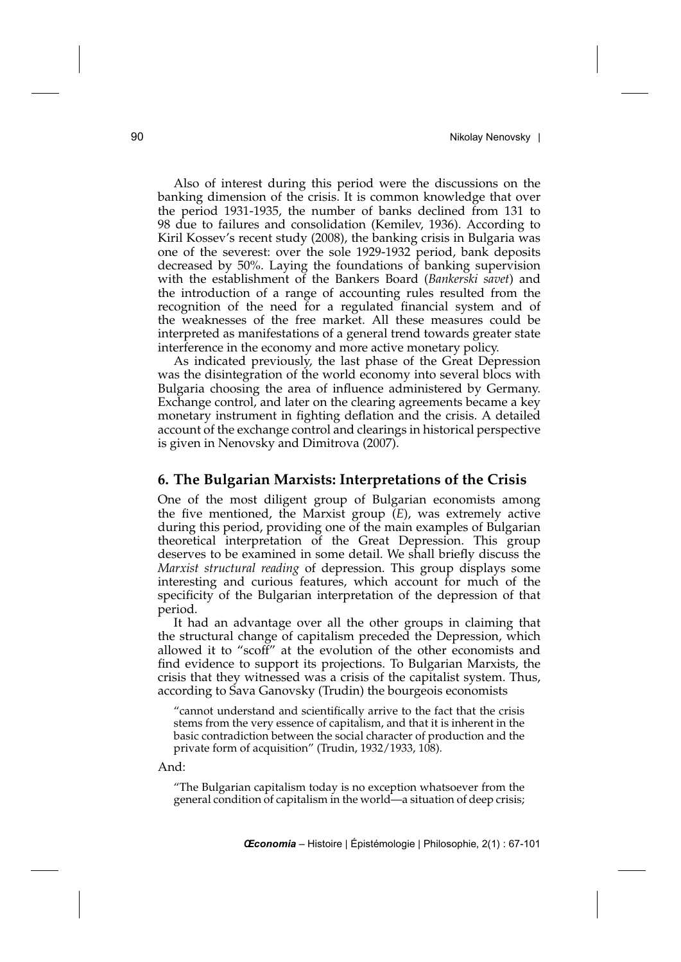Also of interest during this period were the discussions on the banking dimension of the crisis. It is common knowledge that over the period 1931-1935, the number of banks declined from 131 to 98 due to failures and consolidation (Kemilev, 1936). According to Kiril Kossev's recent study (2008), the banking crisis in Bulgaria was one of the severest: over the sole 1929-1932 period, bank deposits decreased by 50%. Laying the foundations of banking supervision with the establishment of the Bankers Board (*Bankerski savet*) and the introduction of a range of accounting rules resulted from the recognition of the need for a regulated financial system and of the weaknesses of the free market. All these measures could be interpreted as manifestations of a general trend towards greater state interference in the economy and more active monetary policy.

As indicated previously, the last phase of the Great Depression was the disintegration of the world economy into several blocs with Bulgaria choosing the area of influence administered by Germany. Exchange control, and later on the clearing agreements became a key monetary instrument in fighting deflation and the crisis. A detailed account of the exchange control and clearings in historical perspective is given in Nenovsky and Dimitrova (2007).

#### **6. The Bulgarian Marxists: Interpretations of the Crisis**

One of the most diligent group of Bulgarian economists among the five mentioned, the Marxist group (*E*), was extremely active during this period, providing one of the main examples of Bulgarian theoretical interpretation of the Great Depression. This group deserves to be examined in some detail. We shall briefly discuss the *Marxist structural reading* of depression. This group displays some interesting and curious features, which account for much of the specificity of the Bulgarian interpretation of the depression of that period.

It had an advantage over all the other groups in claiming that the structural change of capitalism preceded the Depression, which allowed it to "scoff" at the evolution of the other economists and find evidence to support its projections. To Bulgarian Marxists, the crisis that they witnessed was a crisis of the capitalist system. Thus, according to Sava Ganovsky (Trudin) the bourgeois economists

"cannot understand and scientifically arrive to the fact that the crisis stems from the very essence of capitalism, and that it is inherent in the basic contradiction between the social character of production and the private form of acquisition" (Trudin, 1932/1933, 108).

And:

"The Bulgarian capitalism today is no exception whatsoever from the general condition of capitalism in the world—a situation of deep crisis;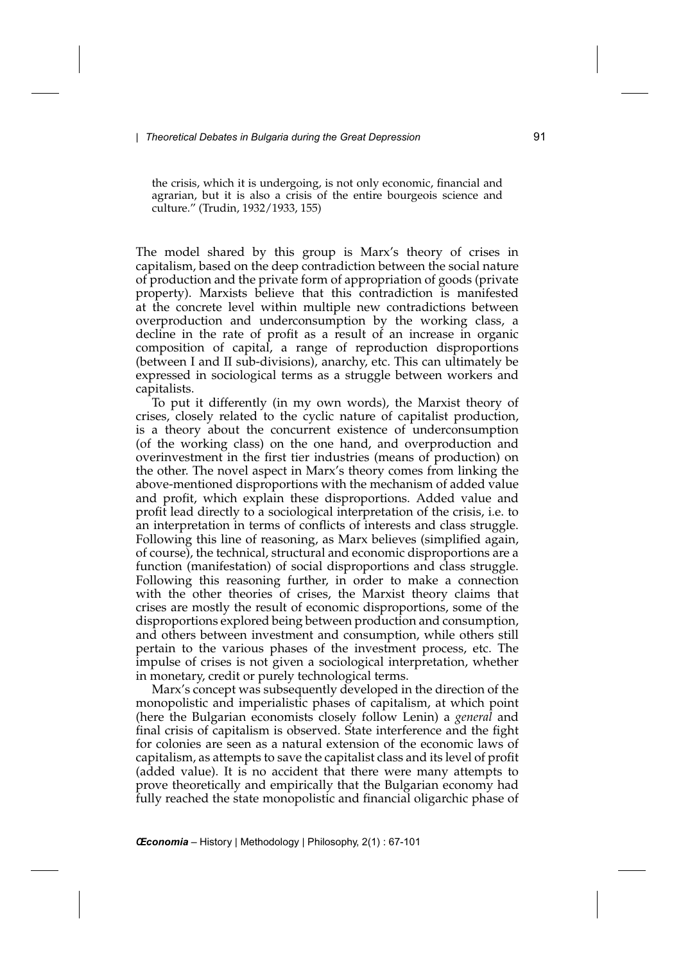the crisis, which it is undergoing, is not only economic, financial and agrarian, but it is also a crisis of the entire bourgeois science and culture." (Trudin, 1932/1933, 155)

The model shared by this group is Marx's theory of crises in capitalism, based on the deep contradiction between the social nature of production and the private form of appropriation of goods (private property). Marxists believe that this contradiction is manifested at the concrete level within multiple new contradictions between overproduction and underconsumption by the working class, a decline in the rate of profit as a result of an increase in organic composition of capital, a range of reproduction disproportions (between I and II sub-divisions), anarchy, etc. This can ultimately be expressed in sociological terms as a struggle between workers and capitalists.

To put it differently (in my own words), the Marxist theory of crises, closely related to the cyclic nature of capitalist production, is a theory about the concurrent existence of underconsumption (of the working class) on the one hand, and overproduction and overinvestment in the first tier industries (means of production) on the other. The novel aspect in Marx's theory comes from linking the above-mentioned disproportions with the mechanism of added value and profit, which explain these disproportions. Added value and profit lead directly to a sociological interpretation of the crisis, i.e. to an interpretation in terms of conflicts of interests and class struggle. Following this line of reasoning, as Marx believes (simplified again, of course), the technical, structural and economic disproportions are a function (manifestation) of social disproportions and class struggle. Following this reasoning further, in order to make a connection with the other theories of crises, the Marxist theory claims that crises are mostly the result of economic disproportions, some of the disproportions explored being between production and consumption, and others between investment and consumption, while others still pertain to the various phases of the investment process, etc. The impulse of crises is not given a sociological interpretation, whether in monetary, credit or purely technological terms.

Marx's concept was subsequently developed in the direction of the monopolistic and imperialistic phases of capitalism, at which point (here the Bulgarian economists closely follow Lenin) a *general* and final crisis of capitalism is observed. State interference and the fight for colonies are seen as a natural extension of the economic laws of capitalism, as attempts to save the capitalist class and its level of profit (added value). It is no accident that there were many attempts to prove theoretically and empirically that the Bulgarian economy had fully reached the state monopolistic and financial oligarchic phase of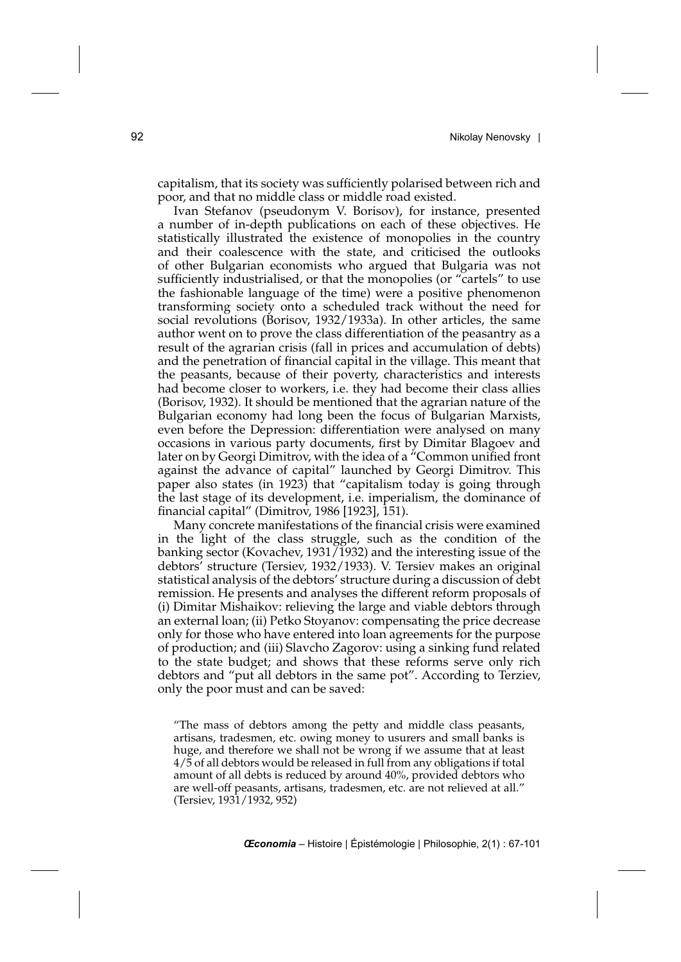capitalism, that its society was sufficiently polarised between rich and poor, and that no middle class or middle road existed.

Ivan Stefanov (pseudonym V. Borisov), for instance, presented a number of in-depth publications on each of these objectives. He statistically illustrated the existence of monopolies in the country and their coalescence with the state, and criticised the outlooks of other Bulgarian economists who argued that Bulgaria was not sufficiently industrialised, or that the monopolies (or "cartels" to use the fashionable language of the time) were a positive phenomenon transforming society onto a scheduled track without the need for social revolutions (Borisov, 1932/1933a). In other articles, the same author went on to prove the class differentiation of the peasantry as a result of the agrarian crisis (fall in prices and accumulation of debts) and the penetration of financial capital in the village. This meant that the peasants, because of their poverty, characteristics and interests had become closer to workers, i.e. they had become their class allies (Borisov, 1932). It should be mentioned that the agrarian nature of the Bulgarian economy had long been the focus of Bulgarian Marxists, even before the Depression: differentiation were analysed on many occasions in various party documents, first by Dimitar Blagoev and later on by Georgi Dimitrov, with the idea of a "Common unified front against the advance of capital" launched by Georgi Dimitrov. This paper also states (in 1923) that "capitalism today is going through the last stage of its development, i.e. imperialism, the dominance of financial capital" (Dimitrov, 1986 [1923], 151).

Many concrete manifestations of the financial crisis were examined in the light of the class struggle, such as the condition of the banking sector (Kovachev, 1931/1932) and the interesting issue of the debtors' structure (Tersiev, 1932/1933). V. Tersiev makes an original statistical analysis of the debtors' structure during a discussion of debt remission. He presents and analyses the different reform proposals of (i) Dimitar Mishaikov: relieving the large and viable debtors through an external loan; (ii) Petko Stoyanov: compensating the price decrease only for those who have entered into loan agreements for the purpose of production; and (iii) Slavcho Zagorov: using a sinking fund related to the state budget; and shows that these reforms serve only rich debtors and "put all debtors in the same pot". According to Terziev, only the poor must and can be saved:

"The mass of debtors among the petty and middle class peasants, artisans, tradesmen, etc. owing money to usurers and small banks is huge, and therefore we shall not be wrong if we assume that at least 4/5 of all debtors would be released in full from any obligations if total amount of all debts is reduced by around 40%, provided debtors who are well-off peasants, artisans, tradesmen, etc. are not relieved at all." (Tersiev, 1931/1932, 952)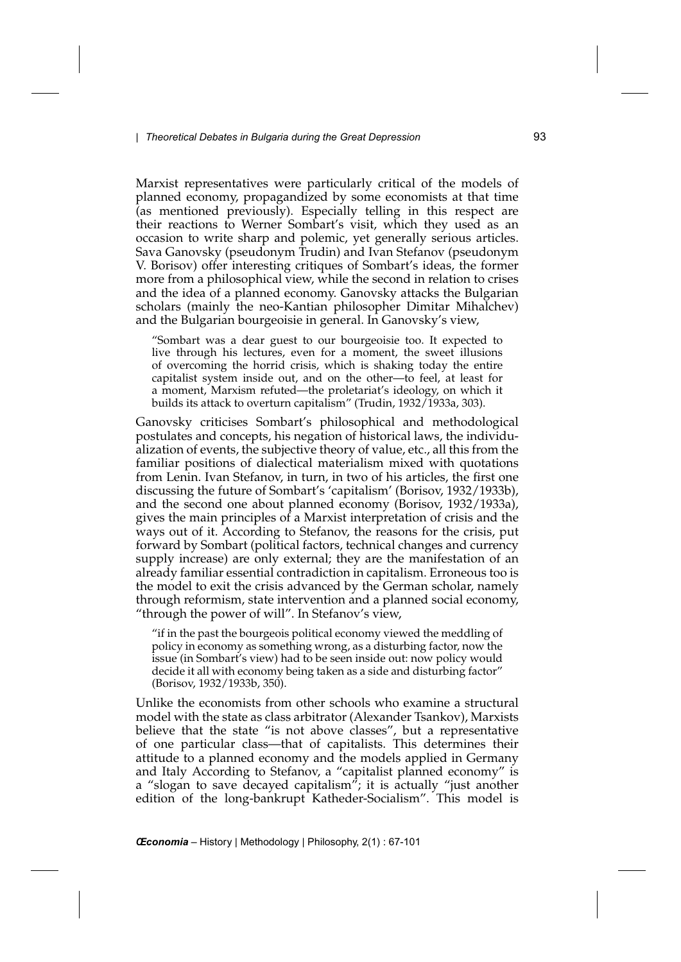Marxist representatives were particularly critical of the models of planned economy, propagandized by some economists at that time (as mentioned previously). Especially telling in this respect are their reactions to Werner Sombart's visit, which they used as an occasion to write sharp and polemic, yet generally serious articles. Sava Ganovsky (pseudonym Trudin) and Ivan Stefanov (pseudonym V. Borisov) offer interesting critiques of Sombart's ideas, the former more from a philosophical view, while the second in relation to crises and the idea of a planned economy. Ganovsky attacks the Bulgarian scholars (mainly the neo-Kantian philosopher Dimitar Mihalchev) and the Bulgarian bourgeoisie in general. In Ganovsky's view,

"Sombart was a dear guest to our bourgeoisie too. It expected to live through his lectures, even for a moment, the sweet illusions of overcoming the horrid crisis, which is shaking today the entire capitalist system inside out, and on the other—to feel, at least for a moment, Marxism refuted—the proletariat's ideology, on which it builds its attack to overturn capitalism" (Trudin, 1932/1933a, 303).

Ganovsky criticises Sombart's philosophical and methodological postulates and concepts, his negation of historical laws, the individualization of events, the subjective theory of value, etc., all this from the familiar positions of dialectical materialism mixed with quotations from Lenin. Ivan Stefanov, in turn, in two of his articles, the first one discussing the future of Sombart's 'capitalism' (Borisov, 1932/1933b), and the second one about planned economy (Borisov, 1932/1933a), gives the main principles of a Marxist interpretation of crisis and the ways out of it. According to Stefanov, the reasons for the crisis, put forward by Sombart (political factors, technical changes and currency supply increase) are only external; they are the manifestation of an already familiar essential contradiction in capitalism. Erroneous too is the model to exit the crisis advanced by the German scholar, namely through reformism, state intervention and a planned social economy, "through the power of will". In Stefanov's view,

"if in the past the bourgeois political economy viewed the meddling of policy in economy as something wrong, as a disturbing factor, now the issue (in Sombart's view) had to be seen inside out: now policy would decide it all with economy being taken as a side and disturbing factor" (Borisov, 1932/1933b, 350).

Unlike the economists from other schools who examine a structural model with the state as class arbitrator (Alexander Tsankov), Marxists believe that the state "is not above classes", but a representative of one particular class—that of capitalists. This determines their attitude to a planned economy and the models applied in Germany and Italy According to Stefanov, a "capitalist planned economy" is a "slogan to save decayed capitalism"; it is actually "just another edition of the long-bankrupt Katheder-Socialism". This model is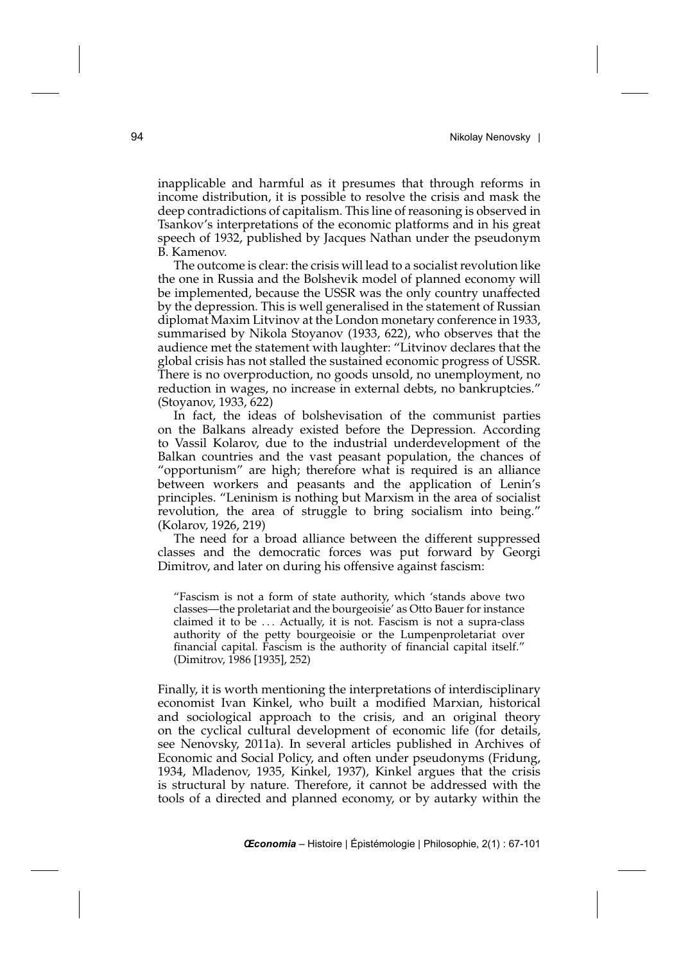inapplicable and harmful as it presumes that through reforms in income distribution, it is possible to resolve the crisis and mask the deep contradictions of capitalism. This line of reasoning is observed in Tsankov's interpretations of the economic platforms and in his great speech of 1932, published by Jacques Nathan under the pseudonym B. Kamenov.

The outcome is clear: the crisis will lead to a socialist revolution like the one in Russia and the Bolshevik model of planned economy will be implemented, because the USSR was the only country unaffected by the depression. This is well generalised in the statement of Russian diplomat Maxim Litvinov at the London monetary conference in 1933, summarised by Nikola Stoyanov (1933, 622), who observes that the audience met the statement with laughter: "Litvinov declares that the global crisis has not stalled the sustained economic progress of USSR. There is no overproduction, no goods unsold, no unemployment, no reduction in wages, no increase in external debts, no bankruptcies." (Stoyanov, 1933, 622)

In fact, the ideas of bolshevisation of the communist parties on the Balkans already existed before the Depression. According to Vassil Kolarov, due to the industrial underdevelopment of the Balkan countries and the vast peasant population, the chances of "opportunism" are high; therefore what is required is an alliance between workers and peasants and the application of Lenin's principles. "Leninism is nothing but Marxism in the area of socialist revolution, the area of struggle to bring socialism into being." (Kolarov, 1926, 219)

The need for a broad alliance between the different suppressed classes and the democratic forces was put forward by Georgi Dimitrov, and later on during his offensive against fascism:

"Fascism is not a form of state authority, which 'stands above two classes—the proletariat and the bourgeoisie' as Otto Bauer for instance claimed it to be *...* Actually, it is not. Fascism is not a supra-class authority of the petty bourgeoisie or the Lumpenproletariat over financial capital. Fascism is the authority of financial capital itself." (Dimitrov, 1986 [1935], 252)

Finally, it is worth mentioning the interpretations of interdisciplinary economist Ivan Kinkel, who built a modified Marxian, historical and sociological approach to the crisis, and an original theory on the cyclical cultural development of economic life (for details, see Nenovsky, 2011a). In several articles published in Archives of Economic and Social Policy, and often under pseudonyms (Fridung, 1934, Mladenov, 1935, Kinkel, 1937), Kinkel argues that the crisis is structural by nature. Therefore, it cannot be addressed with the tools of a directed and planned economy, or by autarky within the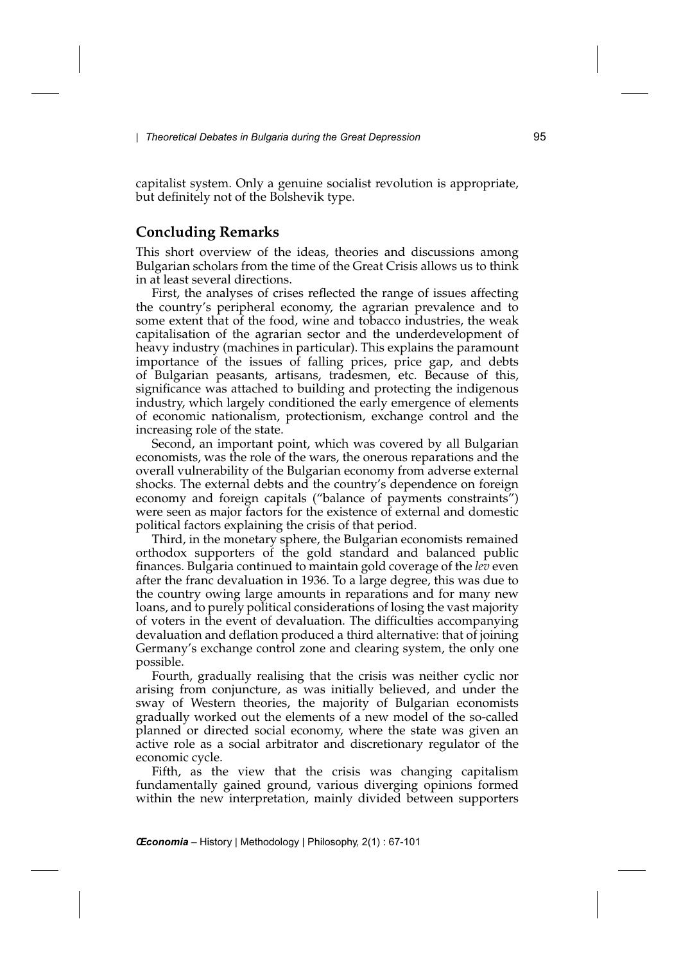capitalist system. Only a genuine socialist revolution is appropriate, but definitely not of the Bolshevik type.

## **Concluding Remarks**

This short overview of the ideas, theories and discussions among Bulgarian scholars from the time of the Great Crisis allows us to think in at least several directions.

First, the analyses of crises reflected the range of issues affecting the country's peripheral economy, the agrarian prevalence and to some extent that of the food, wine and tobacco industries, the weak capitalisation of the agrarian sector and the underdevelopment of heavy industry (machines in particular). This explains the paramount importance of the issues of falling prices, price gap, and debts of Bulgarian peasants, artisans, tradesmen, etc. Because of this, significance was attached to building and protecting the indigenous industry, which largely conditioned the early emergence of elements of economic nationalism, protectionism, exchange control and the increasing role of the state.

Second, an important point, which was covered by all Bulgarian economists, was the role of the wars, the onerous reparations and the overall vulnerability of the Bulgarian economy from adverse external shocks. The external debts and the country's dependence on foreign economy and foreign capitals ("balance of payments constraints") were seen as major factors for the existence of external and domestic political factors explaining the crisis of that period.

Third, in the monetary sphere, the Bulgarian economists remained orthodox supporters of the gold standard and balanced public finances. Bulgaria continued to maintain gold coverage of the *lev* even after the franc devaluation in 1936. To a large degree, this was due to the country owing large amounts in reparations and for many new loans, and to purely political considerations of losing the vast majority of voters in the event of devaluation. The difficulties accompanying devaluation and deflation produced a third alternative: that of joining Germany's exchange control zone and clearing system, the only one possible.

Fourth, gradually realising that the crisis was neither cyclic nor arising from conjuncture, as was initially believed, and under the sway of Western theories, the majority of Bulgarian economists gradually worked out the elements of a new model of the so-called planned or directed social economy, where the state was given an active role as a social arbitrator and discretionary regulator of the economic cycle.

Fifth, as the view that the crisis was changing capitalism fundamentally gained ground, various diverging opinions formed within the new interpretation, mainly divided between supporters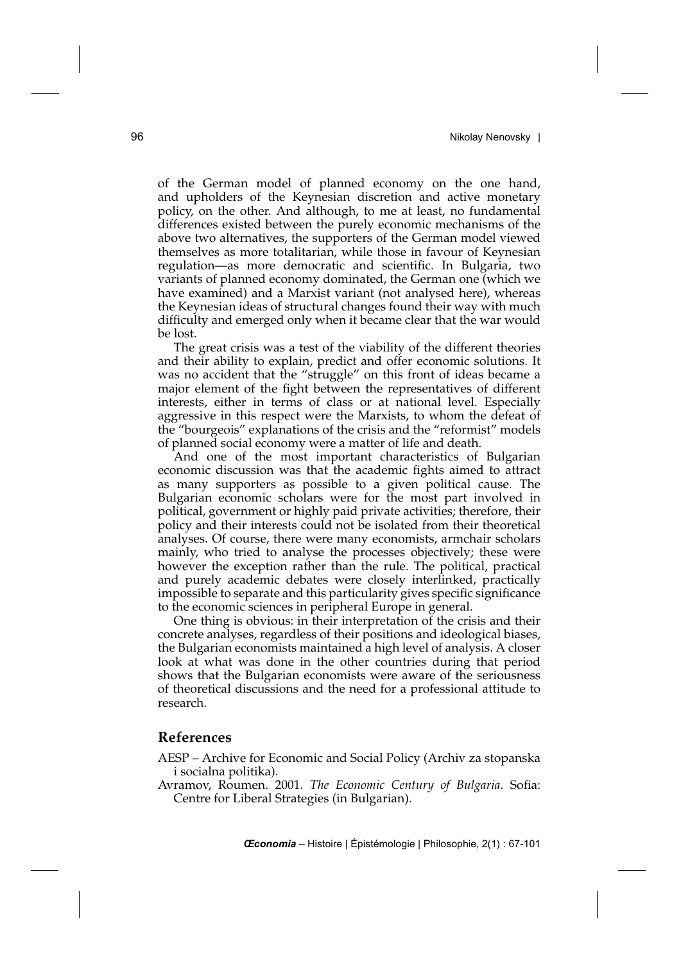of the German model of planned economy on the one hand, and upholders of the Keynesian discretion and active monetary policy, on the other. And although, to me at least, no fundamental differences existed between the purely economic mechanisms of the above two alternatives, the supporters of the German model viewed themselves as more totalitarian, while those in favour of Keynesian regulation—as more democratic and scientific. In Bulgaria, two variants of planned economy dominated, the German one (which we have examined) and a Marxist variant (not analysed here), whereas the Keynesian ideas of structural changes found their way with much difficulty and emerged only when it became clear that the war would be lost.

The great crisis was a test of the viability of the different theories and their ability to explain, predict and offer economic solutions. It was no accident that the "struggle" on this front of ideas became a major element of the fight between the representatives of different interests, either in terms of class or at national level. Especially aggressive in this respect were the Marxists, to whom the defeat of the "bourgeois" explanations of the crisis and the "reformist" models of planned social economy were a matter of life and death.

And one of the most important characteristics of Bulgarian economic discussion was that the academic fights aimed to attract as many supporters as possible to a given political cause. The Bulgarian economic scholars were for the most part involved in political, government or highly paid private activities; therefore, their policy and their interests could not be isolated from their theoretical analyses. Of course, there were many economists, armchair scholars mainly, who tried to analyse the processes objectively; these were however the exception rather than the rule. The political, practical and purely academic debates were closely interlinked, practically impossible to separate and this particularity gives specific significance to the economic sciences in peripheral Europe in general.

One thing is obvious: in their interpretation of the crisis and their concrete analyses, regardless of their positions and ideological biases, the Bulgarian economists maintained a high level of analysis. A closer look at what was done in the other countries during that period shows that the Bulgarian economists were aware of the seriousness of theoretical discussions and the need for a professional attitude to research.

#### **References**

- AESP Archive for Economic and Social Policy (Archiv za stopanska i socialna politika).
- Avramov, Roumen. 2001. *The Economic Century of Bulgaria*. Sofia: Centre for Liberal Strategies (in Bulgarian).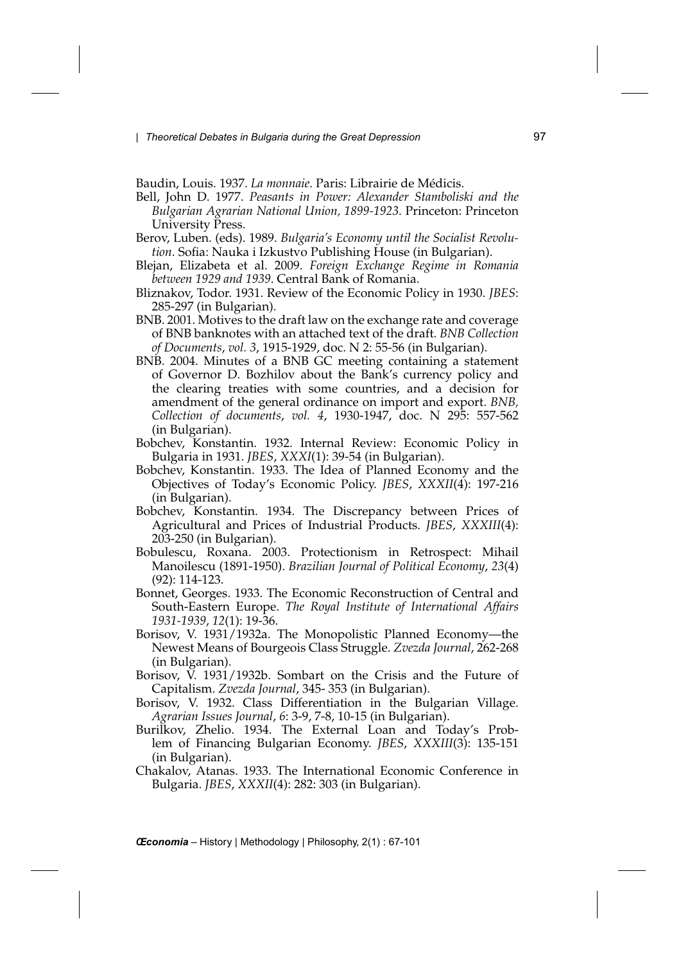Baudin, Louis. 1937. *La monnaie*. Paris: Librairie de Médicis.

- Bell, John D. 1977. *Peasants in Power: Alexander Stamboliski and the Bulgarian Agrarian National Union, 1899-1923*. Princeton: Princeton University Press.
- Berov, Luben. (eds). 1989. *Bulgaria's Economy until the Socialist Revolution*. Sofia: Nauka i Izkustvo Publishing House (in Bulgarian).
- Blejan, Elizabeta et al. 2009. *Foreign Exchange Regime in Romania between 1929 and 1939*. Central Bank of Romania.
- Bliznakov, Todor. 1931. Review of the Economic Policy in 1930. *JBES*: 285-297 (in Bulgarian).
- BNB. 2001. Motives to the draft law on the exchange rate and coverage of BNB banknotes with an attached text of the draft. *BNB Collection of Documents*, *vol. 3*, 1915-1929, doc. N 2: 55-56 (in Bulgarian).
- BNB. 2004. Minutes of a BNB GC meeting containing a statement of Governor D. Bozhilov about the Bank's currency policy and the clearing treaties with some countries, and a decision for amendment of the general ordinance on import and export. *BNB, Collection of documents*, *vol. 4*, 1930-1947, doc. N 295: 557-562 (in Bulgarian).
- Bobchev, Konstantin. 1932. Internal Review: Economic Policy in Bulgaria in 1931. *JBES*, *XXXI*(1): 39-54 (in Bulgarian).
- Bobchev, Konstantin. 1933. The Idea of Planned Economy and the Objectives of Today's Economic Policy. *JBES*, *XXXII*(4): 197-216 (in Bulgarian).
- Bobchev, Konstantin. 1934. The Discrepancy between Prices of Agricultural and Prices of Industrial Products. *JBES*, *XXXIII*(4): 203-250 (in Bulgarian).
- Bobulescu, Roxana. 2003. Protectionism in Retrospect: Mihail Manoilescu (1891-1950). *Brazilian Journal of Political Economy*, *23*(4) (92): 114-123.
- Bonnet, Georges. 1933. The Economic Reconstruction of Central and South-Eastern Europe. *The Royal Institute of International Affairs 1931-1939*, *12*(1): 19-36.
- Borisov, V. 1931/1932a. The Monopolistic Planned Economy—the Newest Means of Bourgeois Class Struggle. *Zvezda Journal*, 262-268 (in Bulgarian).
- Borisov, V. 1931/1932b. Sombart on the Crisis and the Future of Capitalism. *Zvezda Journal*, 345- 353 (in Bulgarian).
- Borisov, V. 1932. Class Differentiation in the Bulgarian Village. *Agrarian Issues Journal*, *6*: 3-9, 7-8, 10-15 (in Bulgarian).
- Burilkov, Zhelio. 1934. The External Loan and Today's Problem of Financing Bulgarian Economy. *JBES*, *XXXIII*(3): 135-151 (in Bulgarian).
- Chakalov, Atanas. 1933. The International Economic Conference in Bulgaria. *JBES*, *XXXII*(4): 282: 303 (in Bulgarian).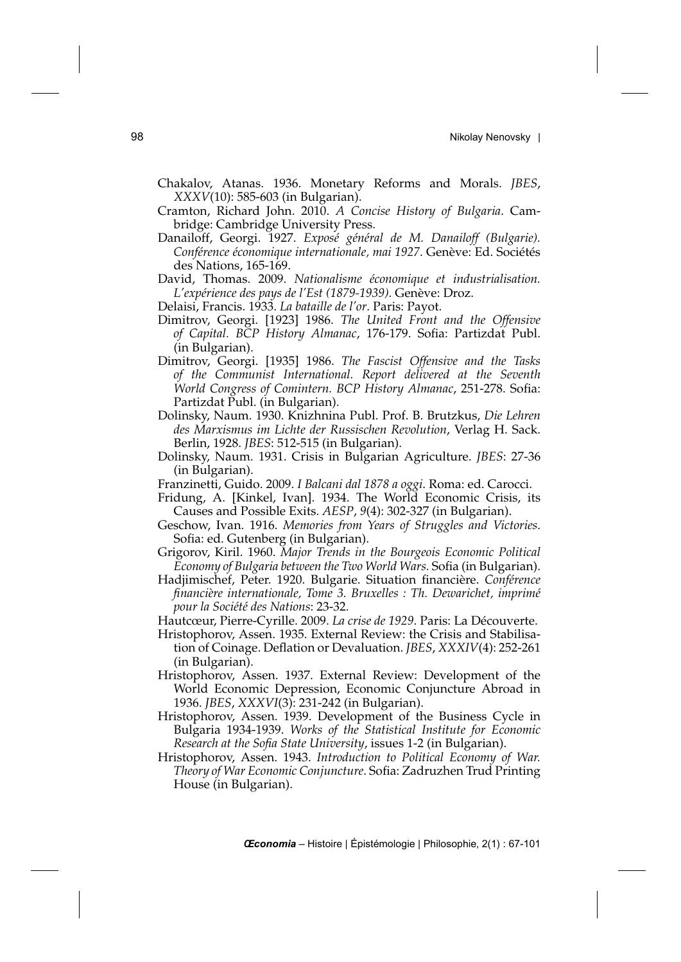- Chakalov, Atanas. 1936. Monetary Reforms and Morals. *JBES*, *XXXV*(10): 585-603 (in Bulgarian).
- Cramton, Richard John. 2010. *A Concise History of Bulgaria*. Cambridge: Cambridge University Press.
- Danailoff, Georgi. 1927. *Exposé général de M. Danailoff (Bulgarie). Conférence économique internationale, mai 1927*. Genève: Ed. Sociétés des Nations, 165-169.
- David, Thomas. 2009. *Nationalisme économique et industrialisation. L'expérience des pays de l'Est (1879-1939)*. Genève: Droz.
- Delaisi, Francis. 1933. *La bataille de l'or*. Paris: Payot.
- Dimitrov, Georgi. [1923] 1986. *The United Front and the Offensive of Capital. BCP History Almanac*, 176-179. Sofia: Partizdat Publ. (in Bulgarian).
- Dimitrov, Georgi. [1935] 1986. *The Fascist Offensive and the Tasks of the Communist International. Report delivered at the Seventh World Congress of Comintern. BCP History Almanac*, 251-278. Sofia: Partizdat Publ. (in Bulgarian).
- Dolinsky, Naum. 1930. Knizhnina Publ. Prof. B. Brutzkus, *Die Lehren des Marxismus im Lichte der Russischen Revolution*, Verlag H. Sack. Berlin, 1928. *JBES*: 512-515 (in Bulgarian).
- Dolinsky, Naum. 1931. Crisis in Bulgarian Agriculture. *JBES*: 27-36 (in Bulgarian).
- Franzinetti, Guido. 2009. *I Balcani dal 1878 a oggi*. Roma: ed. Carocci.
- Fridung, A. [Kinkel, Ivan]. 1934. The World Economic Crisis, its Causes and Possible Exits. *AESP*, *9*(4): 302-327 (in Bulgarian).
- Geschow, Ivan. 1916. *Memories from Years of Struggles and Victories*. Sofia: ed. Gutenberg (in Bulgarian).
- Grigorov, Kiril. 1960. *Major Trends in the Bourgeois Economic Political Economy of Bulgaria between the Two World Wars.* Sofia (in Bulgarian).
- Hadjimischef, Peter. 1920. Bulgarie. Situation financière. *Conférence financière internationale, Tome 3. Bruxelles : Th. Dewarichet, imprimé pour la Société des Nations*: 23-32.
- Hautcœur, Pierre-Cyrille. 2009. *La crise de 1929*. Paris: La Découverte.
- Hristophorov, Assen. 1935. External Review: the Crisis and Stabilisation of Coinage. Deflation or Devaluation. *JBES*, *XXXIV*(4): 252-261 (in Bulgarian).
- Hristophorov, Assen. 1937. External Review: Development of the World Economic Depression, Economic Conjuncture Abroad in 1936. *JBES*, *XXXVI*(3): 231-242 (in Bulgarian).
- Hristophorov, Assen. 1939. Development of the Business Cycle in Bulgaria 1934-1939. *Works of the Statistical Institute for Economic Research at the Sofia State University*, issues 1-2 (in Bulgarian).
- Hristophorov, Assen. 1943. *Introduction to Political Economy of War. Theory of War Economic Conjuncture*. Sofia: Zadruzhen Trud Printing House (in Bulgarian).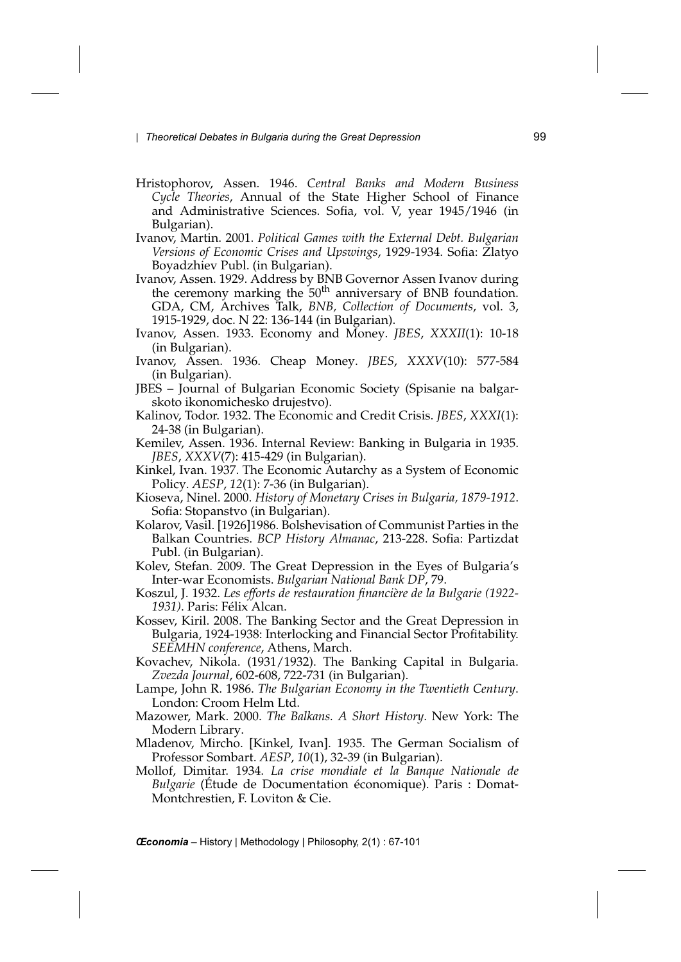- Hristophorov, Assen. 1946. *Central Banks and Modern Business Cycle Theories*, Annual of the State Higher School of Finance and Administrative Sciences. Sofia, vol. V, year 1945/1946 (in Bulgarian).
- Ivanov, Martin. 2001. *Political Games with the External Debt. Bulgarian Versions of Economic Crises and Upswings*, 1929-1934. Sofia: Zlatyo Boyadzhiev Publ. (in Bulgarian).
- Ivanov, Assen. 1929. Address by BNB Governor Assen Ivanov during the ceremony marking the  $50<sup>th</sup>$  anniversary of BNB foundation. GDA, CM, Archives Talk, *BNB, Collection of Documents*, vol. 3, 1915-1929, doc. N 22: 136-144 (in Bulgarian).
- Ivanov, Assen. 1933. Economy and Money. *JBES*, *XXXII*(1): 10-18 (in Bulgarian).
- Ivanov, Assen. 1936. Cheap Money. *JBES*, *XXXV*(10): 577-584 (in Bulgarian).
- JBES Journal of Bulgarian Economic Society (Spisanie na balgarskoto ikonomichesko drujestvo).
- Kalinov, Todor. 1932. The Economic and Credit Crisis. *JBES*, *XXXI*(1): 24-38 (in Bulgarian).
- Kemilev, Assen. 1936. Internal Review: Banking in Bulgaria in 1935. *JBES*, *XXXV*(7): 415-429 (in Bulgarian).
- Kinkel, Ivan. 1937. The Economic Autarchy as a System of Economic Policy. *AESP*, *12*(1): 7-36 (in Bulgarian).
- Kioseva, Ninel. 2000. *History of Monetary Crises in Bulgaria, 1879-1912*. Sofia: Stopanstvo (in Bulgarian).
- Kolarov, Vasil. [1926]1986. Bolshevisation of Communist Parties in the Balkan Countries. *BCP History Almanac*, 213-228. Sofia: Partizdat Publ. (in Bulgarian).
- Kolev, Stefan. 2009. The Great Depression in the Eyes of Bulgaria's Inter-war Economists. *Bulgarian National Bank DP*, 79.
- Koszul, J. 1932. *Les efforts de restauration financière de la Bulgarie (1922- 1931)*. Paris: Félix Alcan.
- Kossev, Kiril. 2008. The Banking Sector and the Great Depression in Bulgaria, 1924-1938: Interlocking and Financial Sector Profitability. *SEEMHN conference*, Athens, March.
- Kovachev, Nikola. (1931/1932). The Banking Capital in Bulgaria. *Zvezda Journal*, 602-608, 722-731 (in Bulgarian).
- Lampe, John R. 1986. *The Bulgarian Economy in the Twentieth Century*. London: Croom Helm Ltd.
- Mazower, Mark. 2000. *The Balkans. A Short History*. New York: The Modern Library.
- Mladenov, Mircho. [Kinkel, Ivan]. 1935. The German Socialism of Professor Sombart. *AESP*, *10*(1), 32-39 (in Bulgarian).
- Mollof, Dimitar. 1934. *La crise mondiale et la Banque Nationale de Bulgarie* (Étude de Documentation économique). Paris : Domat-Montchrestien, F. Loviton & Cie.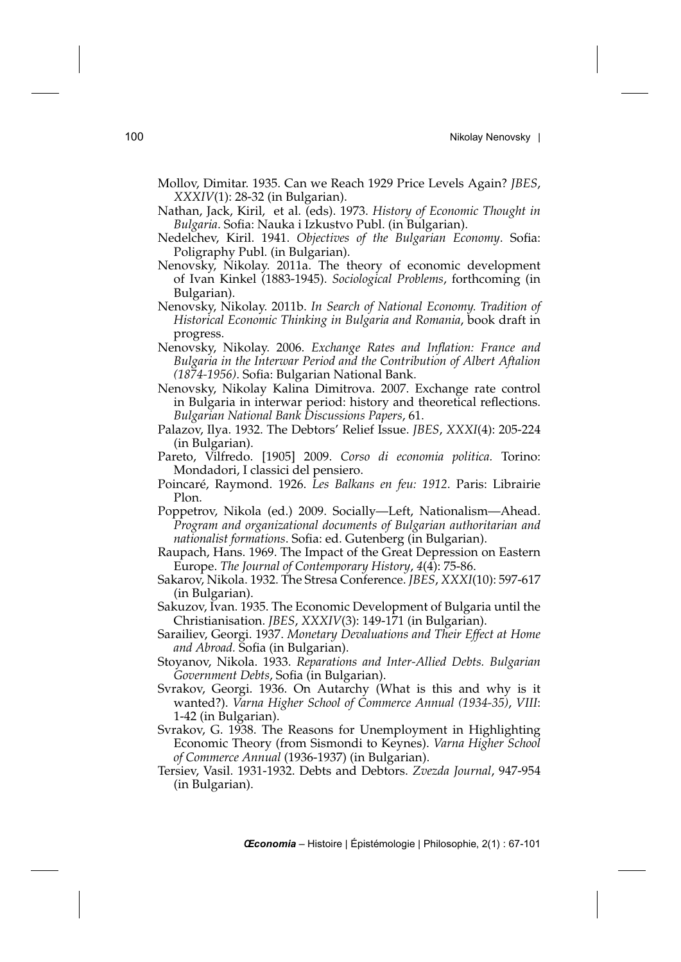- Mollov, Dimitar. 1935. Can we Reach 1929 Price Levels Again? *JBES*, *XXXIV*(1): 28-32 (in Bulgarian).
- Nathan, Jack, Kiril, et al. (eds). 1973. *History of Economic Thought in Bulgaria*. Sofia: Nauka i Izkustvo Publ. (in Bulgarian).
- Nedelchev, Kiril. 1941. *Objectives of the Bulgarian Economy*. Sofia: Poligraphy Publ. (in Bulgarian).
- Nenovsky, Nikolay. 2011a. The theory of economic development of Ivan Kinkel (1883-1945). *Sociological Problems*, forthcoming (in Bulgarian).
- Nenovsky, Nikolay. 2011b. *In Search of National Economy. Tradition of Historical Economic Thinking in Bulgaria and Romania*, book draft in progress.
- Nenovsky, Nikolay. 2006. *Exchange Rates and Inflation: France and Bulgaria in the Interwar Period and the Contribution of Albert Aftalion (1874-1956)*. Sofia: Bulgarian National Bank.
- Nenovsky, Nikolay Kalina Dimitrova. 2007. Exchange rate control in Bulgaria in interwar period: history and theoretical reflections. *Bulgarian National Bank Discussions Papers*, 61.
- Palazov, Ilya. 1932. The Debtors' Relief Issue. *JBES*, *XXXI*(4): 205-224 (in Bulgarian).
- Pareto, Vilfredo. [1905] 2009. *Corso di economia politica.* Torino: Mondadori, I classici del pensiero.
- Poincaré, Raymond. 1926. *Les Balkans en feu: 1912*. Paris: Librairie Plon.
- Poppetrov, Nikola (ed.) 2009. Socially—Left, Nationalism—Ahead. *Program and organizational documents of Bulgarian authoritarian and nationalist formations*. Sofia: ed. Gutenberg (in Bulgarian).
- Raupach, Hans. 1969. The Impact of the Great Depression on Eastern Europe. *The Journal of Contemporary History*, *4*(4): 75-86.
- Sakarov, Nikola. 1932. The Stresa Conference. *JBES*, *XXXI*(10): 597-617 (in Bulgarian).
- Sakuzov, Ivan. 1935. The Economic Development of Bulgaria until the Christianisation. *JBES*, *XXXIV*(3): 149-171 (in Bulgarian).
- Sarailiev, Georgi. 1937. *Monetary Devaluations and Their Effect at Home and Abroad.* Sofia (in Bulgarian).
- Stoyanov, Nikola. 1933. *Reparations and Inter-Allied Debts. Bulgarian Government Debts*, Sofia (in Bulgarian).
- Svrakov, Georgi. 1936. On Autarchy (What is this and why is it wanted?). *Varna Higher School of Commerce Annual (1934-35)*, *VIII*: 1-42 (in Bulgarian).
- Svrakov, G. 1938. The Reasons for Unemployment in Highlighting Economic Theory (from Sismondi to Keynes). *Varna Higher School of Commerce Annual* (1936-1937) (in Bulgarian).
- Tersiev, Vasil. 1931-1932. Debts and Debtors. *Zvezda Journal*, 947-954 (in Bulgarian).